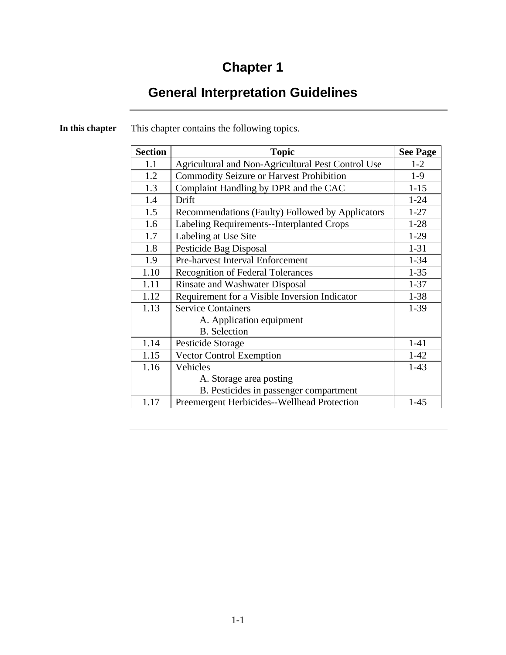# **Chapter 1**

# **General Interpretation Guidelines**

| <b>Section</b> | <b>Topic</b>                                       | <b>See Page</b> |
|----------------|----------------------------------------------------|-----------------|
| 1.1            | Agricultural and Non-Agricultural Pest Control Use | $1-2$           |
| 1.2            | <b>Commodity Seizure or Harvest Prohibition</b>    | $1-9$           |
| 1.3            | Complaint Handling by DPR and the CAC              | $1 - 15$        |
| 1.4            | Drift                                              | $1 - 24$        |
| 1.5            | Recommendations (Faulty) Followed by Applicators   | $1 - 27$        |
| 1.6            | Labeling Requirements--Interplanted Crops          | $1-28$          |
| 1.7            | Labeling at Use Site                               | $1-29$          |
| 1.8            | Pesticide Bag Disposal                             | $1 - 31$        |
| 1.9            | Pre-harvest Interval Enforcement                   | $1 - 34$        |
| 1.10           | <b>Recognition of Federal Tolerances</b>           | $1 - 35$        |
| 1.11           | <b>Rinsate and Washwater Disposal</b>              | $1 - 37$        |
| 1.12           | Requirement for a Visible Inversion Indicator      | $1 - 38$        |
| 1.13           | <b>Service Containers</b>                          | $1-39$          |
|                | A. Application equipment                           |                 |
|                | <b>B.</b> Selection                                |                 |
| 1.14           | Pesticide Storage                                  | $1 - 41$        |
| 1.15           | <b>Vector Control Exemption</b>                    | $1 - 42$        |
| 1.16           | Vehicles                                           | $1-43$          |
|                | A. Storage area posting                            |                 |
|                | B. Pesticides in passenger compartment             |                 |
| 1.17           | Preemergent Herbicides--Wellhead Protection        | $1 - 45$        |

**In this chapter** This chapter contains the following topics.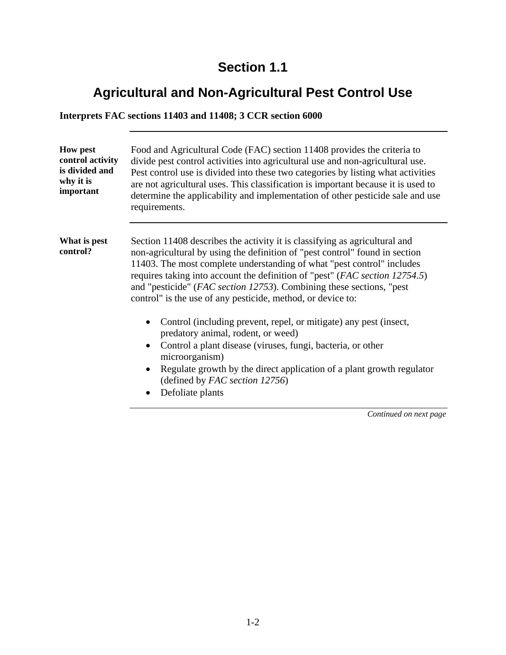# **Agricultural and Non-Agricultural Pest Control Use**

#### **Interprets FAC sections 11403 and 11408; 3 CCR section 6000**

| <b>How pest</b><br>control activity<br>is divided and<br>why it is<br>important | Food and Agricultural Code (FAC) section 11408 provides the criteria to<br>divide pest control activities into agricultural use and non-agricultural use.<br>Pest control use is divided into these two categories by listing what activities<br>are not agricultural uses. This classification is important because it is used to<br>determine the applicability and implementation of other pesticide sale and use<br>requirements.                     |
|---------------------------------------------------------------------------------|-----------------------------------------------------------------------------------------------------------------------------------------------------------------------------------------------------------------------------------------------------------------------------------------------------------------------------------------------------------------------------------------------------------------------------------------------------------|
| What is pest<br>control?                                                        | Section 11408 describes the activity it is classifying as agricultural and<br>non-agricultural by using the definition of "pest control" found in section<br>11403. The most complete understanding of what "pest control" includes<br>requires taking into account the definition of "pest" (FAC section 12754.5)<br>and "pesticide" (FAC section 12753). Combining these sections, "pest<br>control" is the use of any pesticide, method, or device to: |
|                                                                                 | Control (including prevent, repel, or mitigate) any pest (insect,<br>$\bullet$<br>predatory animal, rodent, or weed)<br>Control a plant disease (viruses, fungi, bacteria, or other<br>$\bullet$<br>microorganism)<br>Regulate growth by the direct application of a plant growth regulator<br>(defined by FAC section 12756)<br>Defoliate plants<br>$\bullet$                                                                                            |
|                                                                                 | Continued on next page                                                                                                                                                                                                                                                                                                                                                                                                                                    |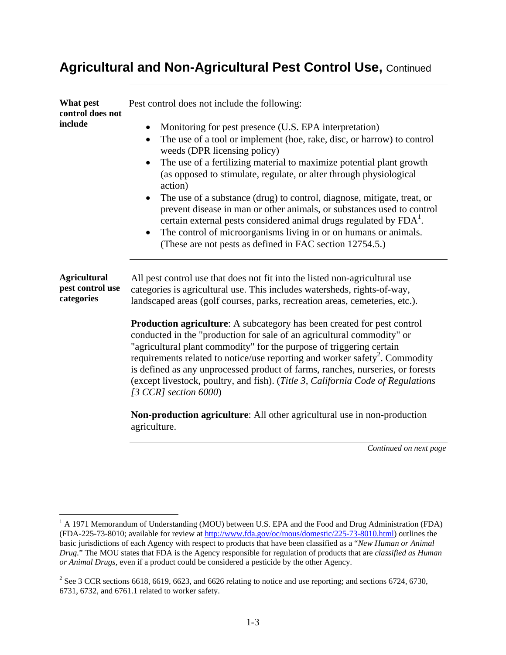| What pest<br>control does not                         | Pest control does not include the following:                                                                                                                                                                                                                                                                                                                                                                                                                                                                                                                                                                                                                                                                  |
|-------------------------------------------------------|---------------------------------------------------------------------------------------------------------------------------------------------------------------------------------------------------------------------------------------------------------------------------------------------------------------------------------------------------------------------------------------------------------------------------------------------------------------------------------------------------------------------------------------------------------------------------------------------------------------------------------------------------------------------------------------------------------------|
| include                                               | Monitoring for pest presence (U.S. EPA interpretation)<br>The use of a tool or implement (hoe, rake, disc, or harrow) to control<br>$\bullet$<br>weeds (DPR licensing policy)<br>The use of a fertilizing material to maximize potential plant growth<br>(as opposed to stimulate, regulate, or alter through physiological<br>action)<br>The use of a substance (drug) to control, diagnose, mitigate, treat, or<br>prevent disease in man or other animals, or substances used to control<br>certain external pests considered animal drugs regulated by FDA <sup>1</sup> .<br>The control of microorganisms living in or on humans or animals.<br>(These are not pests as defined in FAC section 12754.5.) |
| <b>Agricultural</b><br>pest control use<br>categories | All pest control use that does not fit into the listed non-agricultural use<br>categories is agricultural use. This includes watersheds, rights-of-way,<br>landscaped areas (golf courses, parks, recreation areas, cemeteries, etc.).                                                                                                                                                                                                                                                                                                                                                                                                                                                                        |
|                                                       | <b>Production agriculture:</b> A subcategory has been created for pest control<br>conducted in the "production for sale of an agricultural commodity" or<br>"agricultural plant commodity" for the purpose of triggering certain<br>requirements related to notice/use reporting and worker safety <sup>2</sup> . Commodity<br>is defined as any unprocessed product of farms, ranches, nurseries, or forests<br>(except livestock, poultry, and fish). (Title 3, California Code of Regulations<br>[3 CCR] section $6000$ ]                                                                                                                                                                                  |
|                                                       | <b>Non-production agriculture:</b> All other agricultural use in non-production<br>agriculture.                                                                                                                                                                                                                                                                                                                                                                                                                                                                                                                                                                                                               |
|                                                       | Continued on next page                                                                                                                                                                                                                                                                                                                                                                                                                                                                                                                                                                                                                                                                                        |

 $\overline{a}$ 

<sup>&</sup>lt;sup>1</sup> A 1971 Memorandum of Understanding (MOU) between U.S. EPA and the Food and Drug Administration (FDA) (FDA-225-73-8010; available for review at http://www.fda.gov/oc/mous/domestic/225-73-8010.html) outlines the basic jurisdictions of each Agency with respect to products that have been classified as a "*New Human or Animal Drug.*" The MOU states that FDA is the Agency responsible for regulation of products that are *classified as Human or Animal Drugs*, even if a product could be considered a pesticide by the other Agency.

<sup>&</sup>lt;sup>2</sup> See 3 CCR sections 6618, 6619, 6623, and 6626 relating to notice and use reporting; and sections 6724, 6730, 6731, 6732, and 6761.1 related to worker safety.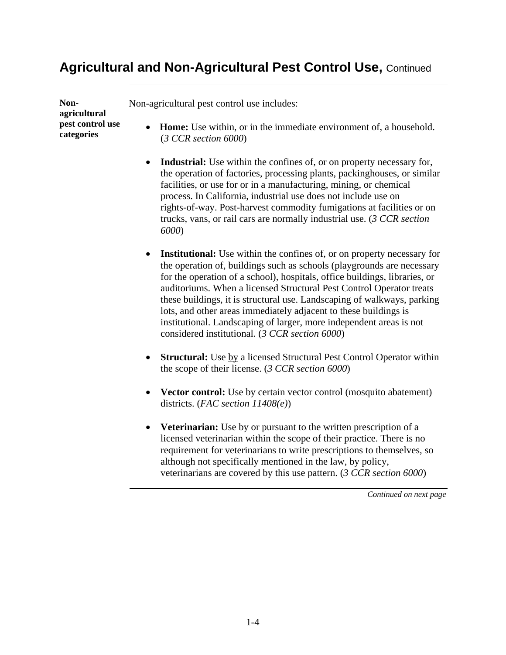**Nonagricultural pest control use categories** 

Non-agricultural pest control use includes:

- **Home:** Use within, or in the immediate environment of, a household. (*3 CCR section 6000*)
- **Industrial:** Use within the confines of, or on property necessary for, the operation of factories, processing plants, packinghouses, or similar facilities, or use for or in a manufacturing, mining, or chemical process. In California, industrial use does not include use on rights-of-way. Post-harvest commodity fumigations at facilities or on trucks, vans, or rail cars are normally industrial use. (*3 CCR section 6000*)
- **Institutional:** Use within the confines of, or on property necessary for the operation of, buildings such as schools (playgrounds are necessary for the operation of a school), hospitals, office buildings, libraries, or auditoriums. When a licensed Structural Pest Control Operator treats these buildings, it is structural use. Landscaping of walkways, parking lots, and other areas immediately adjacent to these buildings is institutional. Landscaping of larger, more independent areas is not considered institutional. (*3 CCR section 6000*)
- **Structural:** Use by a licensed Structural Pest Control Operator within the scope of their license. (*3 CCR section 6000*)
- **Vector control:** Use by certain vector control (mosquito abatement) districts. (*FAC section 11408(e)*)
- **Veterinarian:** Use by or pursuant to the written prescription of a licensed veterinarian within the scope of their practice. There is no requirement for veterinarians to write prescriptions to themselves, so although not specifically mentioned in the law, by policy, veterinarians are covered by this use pattern. (*3 CCR section 6000*)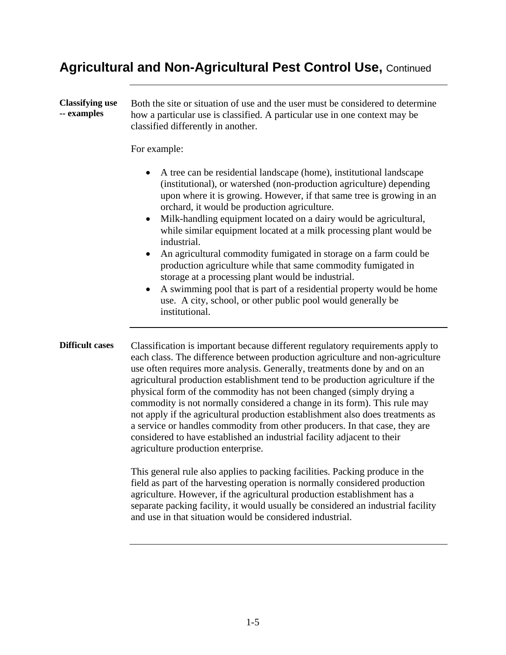**Classifying use -- examples**  Both the site or situation of use and the user must be considered to determine how a particular use is classified. A particular use in one context may be classified differently in another. For example: • A tree can be residential landscape (home), institutional landscape (institutional), or watershed (non-production agriculture) depending upon where it is growing. However, if that same tree is growing in an orchard, it would be production agriculture. • Milk-handling equipment located on a dairy would be agricultural, while similar equipment located at a milk processing plant would be industrial. • An agricultural commodity fumigated in storage on a farm could be production agriculture while that same commodity fumigated in storage at a processing plant would be industrial. • A swimming pool that is part of a residential property would be home use. A city, school, or other public pool would generally be institutional. **Difficult cases** Classification is important because different regulatory requirements apply to each class. The difference between production agriculture and non-agriculture use often requires more analysis. Generally, treatments done by and on an agricultural production establishment tend to be production agriculture if the physical form of the commodity has not been changed (simply drying a commodity is not normally considered a change in its form). This rule may not apply if the agricultural production establishment also does treatments as a service or handles commodity from other producers. In that case, they are considered to have established an industrial facility adjacent to their agriculture production enterprise.

This general rule also applies to packing facilities. Packing produce in the field as part of the harvesting operation is normally considered production agriculture. However, if the agricultural production establishment has a separate packing facility, it would usually be considered an industrial facility and use in that situation would be considered industrial.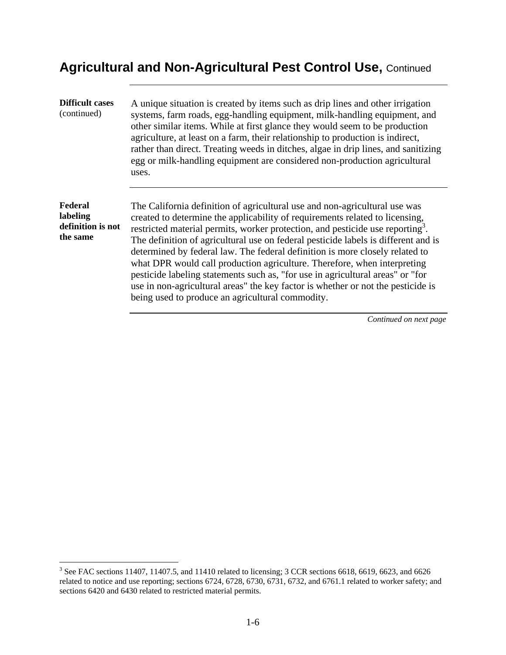| <b>Difficult cases</b><br>(continued)                | A unique situation is created by items such as drip lines and other irrigation<br>systems, farm roads, egg-handling equipment, milk-handling equipment, and<br>other similar items. While at first glance they would seem to be production<br>agriculture, at least on a farm, their relationship to production is indirect,<br>rather than direct. Treating weeds in ditches, algae in drip lines, and sanitizing<br>egg or milk-handling equipment are considered non-production agricultural<br>uses.                                                                                                                                                                                                                             |
|------------------------------------------------------|--------------------------------------------------------------------------------------------------------------------------------------------------------------------------------------------------------------------------------------------------------------------------------------------------------------------------------------------------------------------------------------------------------------------------------------------------------------------------------------------------------------------------------------------------------------------------------------------------------------------------------------------------------------------------------------------------------------------------------------|
| Federal<br>labeling<br>definition is not<br>the same | The California definition of agricultural use and non-agricultural use was<br>created to determine the applicability of requirements related to licensing,<br>restricted material permits, worker protection, and pesticide use reporting <sup>3</sup> .<br>The definition of agricultural use on federal pesticide labels is different and is<br>determined by federal law. The federal definition is more closely related to<br>what DPR would call production agriculture. Therefore, when interpreting<br>pesticide labeling statements such as, "for use in agricultural areas" or "for<br>use in non-agricultural areas" the key factor is whether or not the pesticide is<br>being used to produce an agricultural commodity. |

<sup>&</sup>lt;sup>3</sup> See FAC sections 11407, 11407.5, and 11410 related to licensing; 3 CCR sections 6618, 6619, 6623, and 6626 sections 6420 and 6430 related to restricted material permits. related to notice and use reporting; sections 6724, 6728, 6730, 6731, 6732, and 6761.1 related to worker safety; and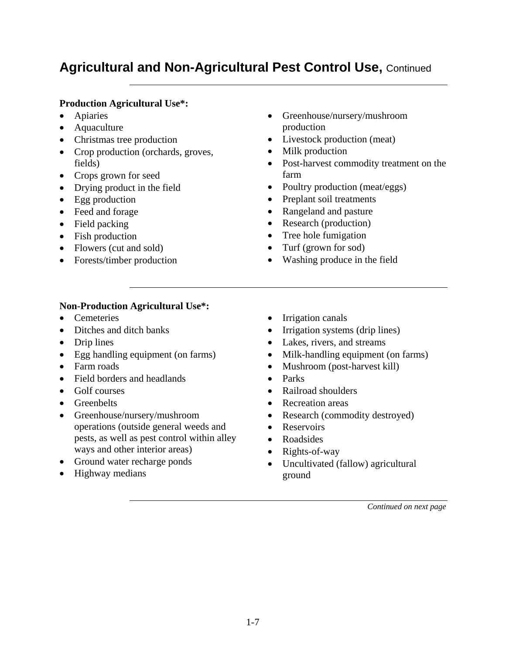#### **Production Agricultural Use\*:**

- Apiaries
- Aquaculture
- Christmas tree production
- Crop production (orchards, groves, fields)
- Crops grown for seed
- Drying product in the field
- Egg production
- Feed and forage
- Field packing
- Fish production
- Flowers (cut and sold)
- Forests/timber production
- Greenhouse/nursery/mushroom production
- Livestock production (meat)
- Milk production
- Post-harvest commodity treatment on the farm
- Poultry production (meat/eggs)
- Preplant soil treatments
- Rangeland and pasture
- Research (production)
- Tree hole fumigation
- Turf (grown for sod)
- Washing produce in the field

#### **Non-Production Agricultural Use\*:**

- Cemeteries
- Ditches and ditch banks
- Drip lines
- Egg handling equipment (on farms)
- Farm roads
- Field borders and headlands
- Golf courses
- Greenbelts
- Greenhouse/nursery/mushroom operations (outside general weeds and pests, as well as pest control within alley ways and other interior areas)
- Ground water recharge ponds
- Highway medians
- Irrigation canals
- Irrigation systems (drip lines)
- Lakes, rivers, and streams
- Milk-handling equipment (on farms)
- Mushroom (post-harvest kill)
- Parks
- Railroad shoulders
- Recreation areas
- Research (commodity destroyed)
- Reservoirs
- Roadsides
- Rights-of-way
- Uncultivated (fallow) agricultural ground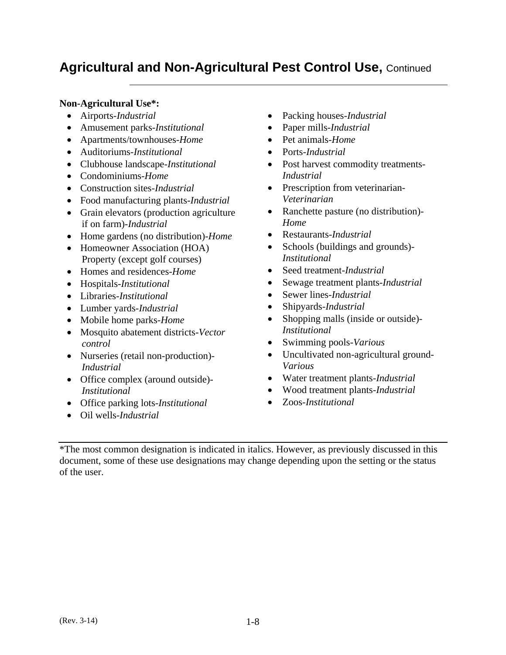#### **Non-Agricultural Use\*:**

- Airports-*Industrial*
- Amusement parks-*Institutional*
- Apartments/townhouses-*Home*
- Auditoriums-*Institutional*
- Clubhouse landscape-*Institutional*
- Condominiums-*Home*
- Construction sites-*Industrial*
- Food manufacturing plants-*Industrial*
- Grain elevators (production agriculture if on farm)-*Industrial*
- Home gardens (no distribution)-*Home*
- Homeowner Association (HOA) Property (except golf courses)
- Homes and residences-*Home*
- Hospitals-*Institutional*
- Libraries-*Institutional*
- Lumber yards-*Industrial*
- Mobile home parks-*Home*
- Mosquito abatement districts-*Vector control*
- Nurseries (retail non-production) *Industrial*
- Office complex (around outside)-*Institutional*
- Office parking lots-*Institutional*
- Oil wells-*Industrial*
- Packing houses-*Industrial*
- Paper mills-*Industrial*
- Pet animals-*Home*
- Ports-*Industrial*
- Post harvest commodity treatments-*Industrial*
- Prescription from veterinarian-*Veterinarian*
- Ranchette pasture (no distribution)-*Home*
- Restaurants-*Industrial*
- Schools (buildings and grounds)-*Institutional*
- Seed treatment-*Industrial*
- Sewage treatment plants-*Industrial*
- Sewer lines-*Industrial*
- Shipyards-*Industrial*
- Shopping malls (inside or outside)-*Institutional*
- Swimming pools-*Various*
- Uncultivated non-agricultural ground-*Various*
- Water treatment plants-*Industrial*
- Wood treatment plants-*Industrial*
- Zoos-*Institutional*

\*The most common designation is indicated in italics. However, as previously discussed in this document, some of these use designations may change depending upon the setting or the status of the user.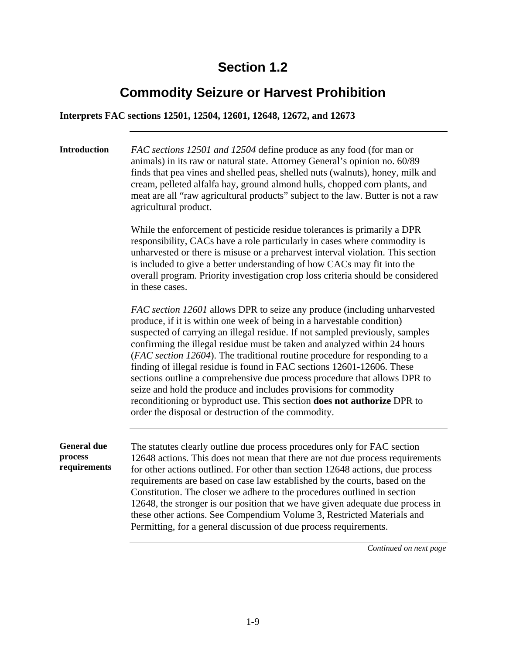### **Commodity Seizure or Harvest Prohibition**

**Interprets FAC sections 12501, 12504, 12601, 12648, 12672, and 12673** 

**Introduction** *FAC sections 12501 and 12504* define produce as any food (for man or animals) in its raw or natural state. Attorney General's opinion no. 60/89 finds that pea vines and shelled peas, shelled nuts (walnuts), honey, milk and cream, pelleted alfalfa hay, ground almond hulls, chopped corn plants, and meat are all "raw agricultural products" subject to the law. Butter is not a raw agricultural product.

> While the enforcement of pesticide residue tolerances is primarily a DPR responsibility, CACs have a role particularly in cases where commodity is unharvested or there is misuse or a preharvest interval violation. This section is included to give a better understanding of how CACs may fit into the overall program. Priority investigation crop loss criteria should be considered in these cases.

*FAC section 12601* allows DPR to seize any produce (including unharvested produce, if it is within one week of being in a harvestable condition) suspected of carrying an illegal residue. If not sampled previously, samples confirming the illegal residue must be taken and analyzed within 24 hours (*FAC section 12604*). The traditional routine procedure for responding to a finding of illegal residue is found in FAC sections 12601-12606. These sections outline a comprehensive due process procedure that allows DPR to seize and hold the produce and includes provisions for commodity reconditioning or byproduct use. This section **does not authorize** DPR to order the disposal or destruction of the commodity.

**General due process requirements**  The statutes clearly outline due process procedures only for FAC section 12648 actions. This does not mean that there are not due process requirements for other actions outlined. For other than section 12648 actions, due process requirements are based on case law established by the courts, based on the Constitution. The closer we adhere to the procedures outlined in section 12648, the stronger is our position that we have given adequate due process in these other actions. See Compendium Volume 3, Restricted Materials and Permitting, for a general discussion of due process requirements.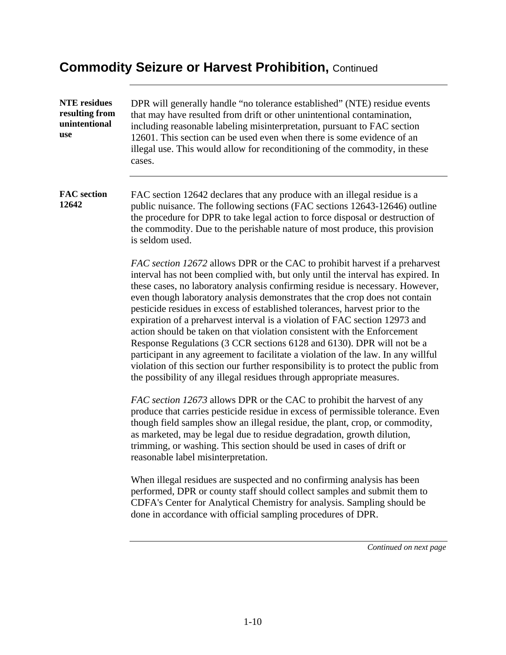| <b>NTE</b> residues<br>resulting from<br>unintentional<br>use | DPR will generally handle "no tolerance established" (NTE) residue events<br>that may have resulted from drift or other unintentional contamination,<br>including reasonable labeling misinterpretation, pursuant to FAC section<br>12601. This section can be used even when there is some evidence of an<br>illegal use. This would allow for reconditioning of the commodity, in these |
|---------------------------------------------------------------|-------------------------------------------------------------------------------------------------------------------------------------------------------------------------------------------------------------------------------------------------------------------------------------------------------------------------------------------------------------------------------------------|
|                                                               | cases.                                                                                                                                                                                                                                                                                                                                                                                    |

**FAC section 12642**  FAC section 12642 declares that any produce with an illegal residue is a public nuisance. The following sections (FAC sections 12643-12646) outline the procedure for DPR to take legal action to force disposal or destruction of the commodity. Due to the perishable nature of most produce, this provision is seldom used.

> *FAC section 12672* allows DPR or the CAC to prohibit harvest if a preharvest interval has not been complied with, but only until the interval has expired. In these cases, no laboratory analysis confirming residue is necessary. However, even though laboratory analysis demonstrates that the crop does not contain pesticide residues in excess of established tolerances, harvest prior to the expiration of a preharvest interval is a violation of FAC section 12973 and action should be taken on that violation consistent with the Enforcement Response Regulations (3 CCR sections 6128 and 6130). DPR will not be a participant in any agreement to facilitate a violation of the law. In any willful violation of this section our further responsibility is to protect the public from the possibility of any illegal residues through appropriate measures.

> *FAC section 12673* allows DPR or the CAC to prohibit the harvest of any produce that carries pesticide residue in excess of permissible tolerance. Even though field samples show an illegal residue, the plant, crop, or commodity, as marketed, may be legal due to residue degradation, growth dilution, trimming, or washing. This section should be used in cases of drift or reasonable label misinterpretation.

When illegal residues are suspected and no confirming analysis has been performed, DPR or county staff should collect samples and submit them to CDFA's Center for Analytical Chemistry for analysis. Sampling should be done in accordance with official sampling procedures of DPR.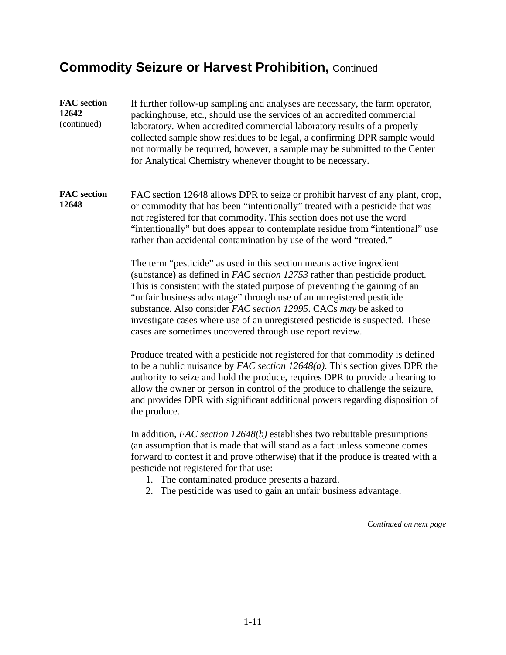| <b>FAC</b> section<br>12642<br>(continued) | If further follow-up sampling and analyses are necessary, the farm operator,<br>packinghouse, etc., should use the services of an accredited commercial<br>laboratory. When accredited commercial laboratory results of a properly<br>collected sample show residues to be legal, a confirming DPR sample would<br>not normally be required, however, a sample may be submitted to the Center<br>for Analytical Chemistry whenever thought to be necessary.                                                                                                                                                                                                                                                                                                                                                                                                                                                               |
|--------------------------------------------|---------------------------------------------------------------------------------------------------------------------------------------------------------------------------------------------------------------------------------------------------------------------------------------------------------------------------------------------------------------------------------------------------------------------------------------------------------------------------------------------------------------------------------------------------------------------------------------------------------------------------------------------------------------------------------------------------------------------------------------------------------------------------------------------------------------------------------------------------------------------------------------------------------------------------|
| <b>FAC</b> section<br>12648                | FAC section 12648 allows DPR to seize or prohibit harvest of any plant, crop,<br>or commodity that has been "intentionally" treated with a pesticide that was<br>not registered for that commodity. This section does not use the word<br>"intentionally" but does appear to contemplate residue from "intentional" use<br>rather than accidental contamination by use of the word "treated."<br>The term "pesticide" as used in this section means active ingredient<br>(substance) as defined in FAC section 12753 rather than pesticide product.<br>This is consistent with the stated purpose of preventing the gaining of an<br>"unfair business advantage" through use of an unregistered pesticide<br>substance. Also consider FAC section 12995. CACs may be asked to<br>investigate cases where use of an unregistered pesticide is suspected. These<br>cases are sometimes uncovered through use report review. |
|                                            | Produce treated with a pesticide not registered for that commodity is defined<br>to be a public nuisance by $FAC$ section $12648(a)$ . This section gives DPR the<br>authority to seize and hold the produce, requires DPR to provide a hearing to<br>allow the owner or person in control of the produce to challenge the seizure,<br>and provides DPR with significant additional powers regarding disposition of<br>the produce.<br>In addition, $FAC$ section 12648(b) establishes two rebuttable presumptions<br>(an assumption that is made that will stand as a fact unless someone comes<br>forward to contest it and prove otherwise) that if the produce is treated with a<br>pesticide not registered for that use:<br>The contaminated produce presents a hazard.<br>1.<br>The pesticide was used to gain an unfair business advantage.<br>2.                                                                 |
|                                            | Continued on next page                                                                                                                                                                                                                                                                                                                                                                                                                                                                                                                                                                                                                                                                                                                                                                                                                                                                                                    |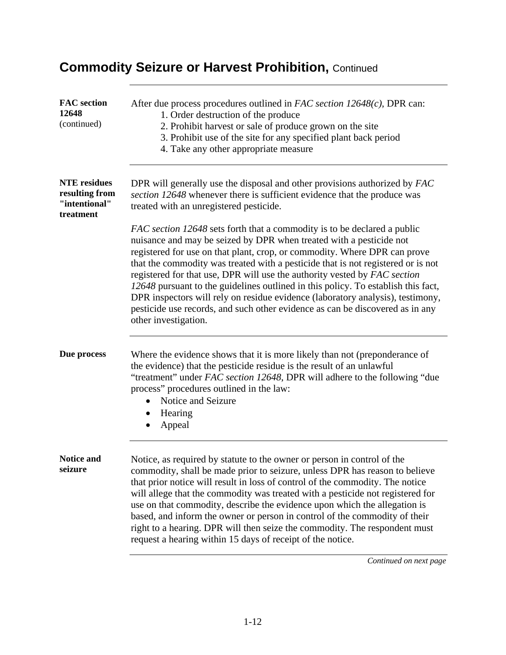| <b>FAC</b> section<br>12648<br>(continued)                          | After due process procedures outlined in FAC section $12648(c)$ , DPR can:<br>1. Order destruction of the produce<br>2. Prohibit harvest or sale of produce grown on the site<br>3. Prohibit use of the site for any specified plant back period<br>4. Take any other appropriate measure                                                                                                                                                                                                                                                                                                                                                                                     |
|---------------------------------------------------------------------|-------------------------------------------------------------------------------------------------------------------------------------------------------------------------------------------------------------------------------------------------------------------------------------------------------------------------------------------------------------------------------------------------------------------------------------------------------------------------------------------------------------------------------------------------------------------------------------------------------------------------------------------------------------------------------|
| <b>NTE</b> residues<br>resulting from<br>"intentional"<br>treatment | DPR will generally use the disposal and other provisions authorized by FAC<br>section 12648 whenever there is sufficient evidence that the produce was<br>treated with an unregistered pesticide.                                                                                                                                                                                                                                                                                                                                                                                                                                                                             |
|                                                                     | FAC section 12648 sets forth that a commodity is to be declared a public<br>nuisance and may be seized by DPR when treated with a pesticide not<br>registered for use on that plant, crop, or commodity. Where DPR can prove<br>that the commodity was treated with a pesticide that is not registered or is not<br>registered for that use, DPR will use the authority vested by FAC section<br>12648 pursuant to the guidelines outlined in this policy. To establish this fact,<br>DPR inspectors will rely on residue evidence (laboratory analysis), testimony,<br>pesticide use records, and such other evidence as can be discovered as in any<br>other investigation. |
| Due process                                                         | Where the evidence shows that it is more likely than not (preponderance of<br>the evidence) that the pesticide residue is the result of an unlawful<br>"treatment" under FAC section 12648, DPR will adhere to the following "due<br>process" procedures outlined in the law:<br>Notice and Seizure<br>Hearing<br>$\bullet$<br>Appeal                                                                                                                                                                                                                                                                                                                                         |
| <b>Notice and</b><br>seizure                                        | Notice, as required by statute to the owner or person in control of the<br>commodity, shall be made prior to seizure, unless DPR has reason to believe<br>that prior notice will result in loss of control of the commodity. The notice<br>will allege that the commodity was treated with a pesticide not registered for<br>use on that commodity, describe the evidence upon which the allegation is<br>based, and inform the owner or person in control of the commodity of their<br>right to a hearing. DPR will then seize the commodity. The respondent must<br>request a hearing within 15 days of receipt of the notice.                                              |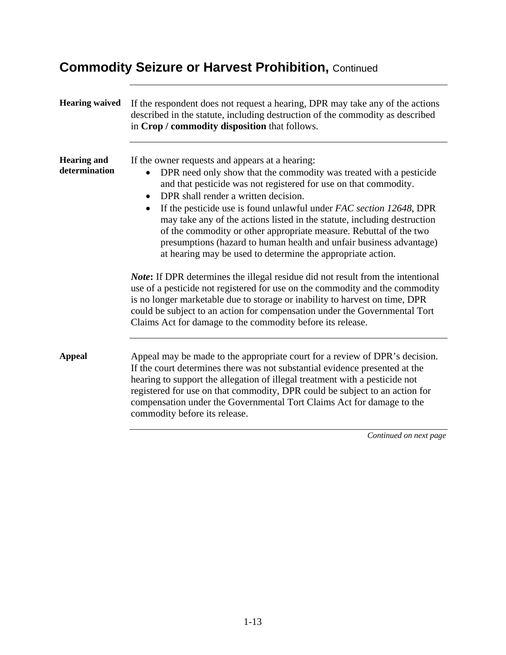| <b>Hearing waived</b>               | If the respondent does not request a hearing, DPR may take any of the actions<br>described in the statute, including destruction of the commodity as described<br>in Crop / commodity disposition that follows.                                                                                                                                                                                                                                                                                                                                                                                               |
|-------------------------------------|---------------------------------------------------------------------------------------------------------------------------------------------------------------------------------------------------------------------------------------------------------------------------------------------------------------------------------------------------------------------------------------------------------------------------------------------------------------------------------------------------------------------------------------------------------------------------------------------------------------|
| <b>Hearing and</b><br>determination | If the owner requests and appears at a hearing:<br>DPR need only show that the commodity was treated with a pesticide<br>and that pesticide was not registered for use on that commodity.<br>DPR shall render a written decision.<br>$\bullet$<br>If the pesticide use is found unlawful under FAC section 12648, DPR<br>may take any of the actions listed in the statute, including destruction<br>of the commodity or other appropriate measure. Rebuttal of the two<br>presumptions (hazard to human health and unfair business advantage)<br>at hearing may be used to determine the appropriate action. |
|                                     | Note: If DPR determines the illegal residue did not result from the intentional<br>use of a pesticide not registered for use on the commodity and the commodity<br>is no longer marketable due to storage or inability to harvest on time, DPR<br>could be subject to an action for compensation under the Governmental Tort<br>Claims Act for damage to the commodity before its release.                                                                                                                                                                                                                    |
| <b>Appeal</b>                       | Appeal may be made to the appropriate court for a review of DPR's decision.<br>If the court determines there was not substantial evidence presented at the<br>hearing to support the allegation of illegal treatment with a pesticide not<br>registered for use on that commodity, DPR could be subject to an action for<br>compensation under the Governmental Tort Claims Act for damage to the<br>commodity before its release.                                                                                                                                                                            |
|                                     | Continued on next page                                                                                                                                                                                                                                                                                                                                                                                                                                                                                                                                                                                        |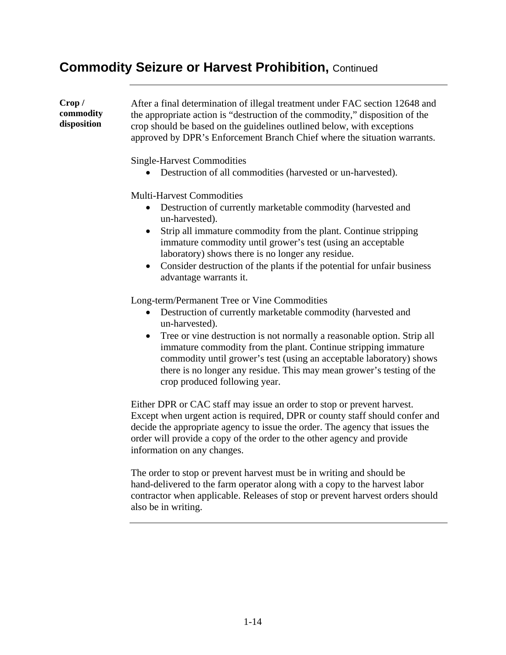**Crop / commodity disposition**  After a final determination of illegal treatment under FAC section 12648 and the appropriate action is "destruction of the commodity," disposition of the crop should be based on the guidelines outlined below, with exceptions approved by DPR's Enforcement Branch Chief where the situation warrants. Single-Harvest Commodities • Destruction of all commodities (harvested or un-harvested).

Multi-Harvest Commodities

- Destruction of currently marketable commodity (harvested and un-harvested).
- Strip all immature commodity from the plant. Continue stripping immature commodity until grower's test (using an acceptable laboratory) shows there is no longer any residue.
- Consider destruction of the plants if the potential for unfair business advantage warrants it.

Long-term/Permanent Tree or Vine Commodities

- Destruction of currently marketable commodity (harvested and un-harvested).
- Tree or vine destruction is not normally a reasonable option. Strip all immature commodity from the plant. Continue stripping immature commodity until grower's test (using an acceptable laboratory) shows there is no longer any residue. This may mean grower's testing of the crop produced following year.

Either DPR or CAC staff may issue an order to stop or prevent harvest. Except when urgent action is required, DPR or county staff should confer and decide the appropriate agency to issue the order. The agency that issues the order will provide a copy of the order to the other agency and provide information on any changes.

The order to stop or prevent harvest must be in writing and should be hand-delivered to the farm operator along with a copy to the harvest labor contractor when applicable. Releases of stop or prevent harvest orders should also be in writing.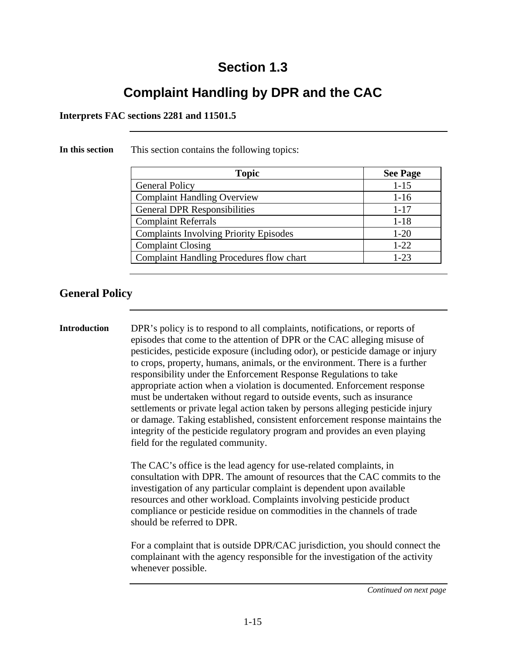# **Complaint Handling by DPR and the CAC**

#### **Interprets FAC sections 2281 and 11501.5**

**In this section** This section contains the following topics:

| <b>Topic</b>                                    | <b>See Page</b> |
|-------------------------------------------------|-----------------|
| <b>General Policy</b>                           | $1 - 15$        |
| <b>Complaint Handling Overview</b>              | $1 - 16$        |
| <b>General DPR Responsibilities</b>             | $1 - 17$        |
| <b>Complaint Referrals</b>                      | $1 - 18$        |
| <b>Complaints Involving Priority Episodes</b>   | $1 - 20$        |
| <b>Complaint Closing</b>                        | $1 - 22$        |
| <b>Complaint Handling Procedures flow chart</b> | $1 - 23$        |

**General Policy** 

**Introduction** DPR's policy is to respond to all complaints, notifications, or reports of episodes that come to the attention of DPR or the CAC alleging misuse of pesticides, pesticide exposure (including odor), or pesticide damage or injury to crops, property, humans, animals, or the environment. There is a further responsibility under the Enforcement Response Regulations to take appropriate action when a violation is documented. Enforcement response must be undertaken without regard to outside events, such as insurance settlements or private legal action taken by persons alleging pesticide injury or damage. Taking established, consistent enforcement response maintains the integrity of the pesticide regulatory program and provides an even playing field for the regulated community.

> The CAC's office is the lead agency for use-related complaints, in consultation with DPR. The amount of resources that the CAC commits to the investigation of any particular complaint is dependent upon available resources and other workload. Complaints involving pesticide product compliance or pesticide residue on commodities in the channels of trade should be referred to DPR.

> For a complaint that is outside DPR/CAC jurisdiction, you should connect the complainant with the agency responsible for the investigation of the activity whenever possible.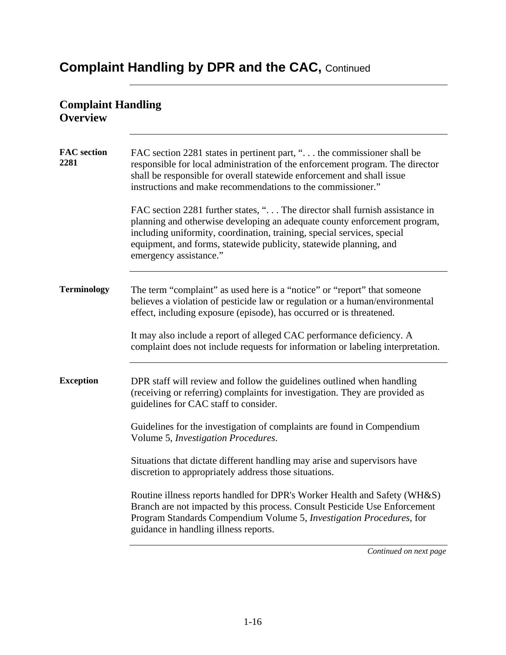### **Complaint Handling Overview FAC section 2281**  FAC section 2281 states in pertinent part, "... the commissioner shall be responsible for local administration of the enforcement program. The director shall be responsible for overall statewide enforcement and shall issue instructions and make recommendations to the commissioner." FAC section 2281 further states, "... The director shall furnish assistance in planning and otherwise developing an adequate county enforcement program, including uniformity, coordination, training, special services, special equipment, and forms, statewide publicity, statewide planning, and emergency assistance." **Terminology** The term "complaint" as used here is a "notice" or "report" that someone believes a violation of pesticide law or regulation or a human/environmental effect, including exposure (episode), has occurred or is threatened. It may also include a report of alleged CAC performance deficiency. A complaint does not include requests for information or labeling interpretation. **Exception** DPR staff will review and follow the guidelines outlined when handling (receiving or referring) complaints for investigation. They are provided as guidelines for CAC staff to consider. Guidelines for the investigation of complaints are found in Compendium Volume 5, *Investigation Procedures*. Situations that dictate different handling may arise and supervisors have discretion to appropriately address those situations. Routine illness reports handled for DPR's Worker Health and Safety (WH&S) Branch are not impacted by this process. Consult Pesticide Use Enforcement Program Standards Compendium Volume 5, *Investigation Procedures*, for guidance in handling illness reports.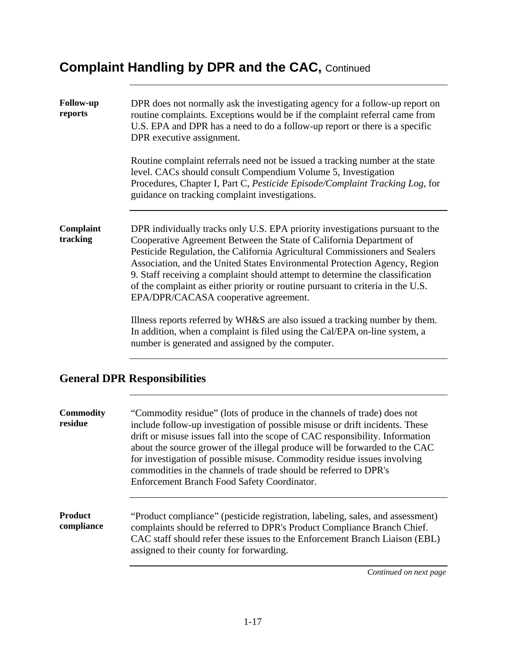| <b>Follow-up</b><br>reports | DPR does not normally ask the investigating agency for a follow-up report on<br>routine complaints. Exceptions would be if the complaint referral came from<br>U.S. EPA and DPR has a need to do a follow-up report or there is a specific<br>DPR executive assignment.                                                                                                                                                                                                                                                        |
|-----------------------------|--------------------------------------------------------------------------------------------------------------------------------------------------------------------------------------------------------------------------------------------------------------------------------------------------------------------------------------------------------------------------------------------------------------------------------------------------------------------------------------------------------------------------------|
|                             | Routine complaint referrals need not be issued a tracking number at the state<br>level. CACs should consult Compendium Volume 5, Investigation<br>Procedures, Chapter I, Part C, Pesticide Episode/Complaint Tracking Log, for<br>guidance on tracking complaint investigations.                                                                                                                                                                                                                                               |
| Complaint<br>tracking       | DPR individually tracks only U.S. EPA priority investigations pursuant to the<br>Cooperative Agreement Between the State of California Department of<br>Pesticide Regulation, the California Agricultural Commissioners and Sealers<br>Association, and the United States Environmental Protection Agency, Region<br>9. Staff receiving a complaint should attempt to determine the classification<br>of the complaint as either priority or routine pursuant to criteria in the U.S.<br>EPA/DPR/CACASA cooperative agreement. |
|                             | Illness reports referred by WH&S are also issued a tracking number by them.<br>In addition, when a complaint is filed using the Cal/EPA on-line system, a<br>number is generated and assigned by the computer.                                                                                                                                                                                                                                                                                                                 |
|                             | <b>General DPR Responsibilities</b>                                                                                                                                                                                                                                                                                                                                                                                                                                                                                            |
| <b>Commodity</b><br>residue | "Commodity residue" (lots of produce in the channels of trade) does not<br>include follow-up investigation of possible misuse or drift incidents. These<br>drift or misuse issues fall into the scope of CAC responsibility. Information<br>about the source grower of the illegal produce will be forwarded to the CAC<br>for investigation of possible misuse. Commodity residue issues involving<br>commodities in the channels of trade should be referred to DPR's<br>Enforcement Branch Food Safety Coordinator.         |

**Product compliance**  "Product compliance" (pesticide registration, labeling, sales, and assessment) complaints should be referred to DPR's Product Compliance Branch Chief. CAC staff should refer these issues to the Enforcement Branch Liaison (EBL) assigned to their county for forwarding.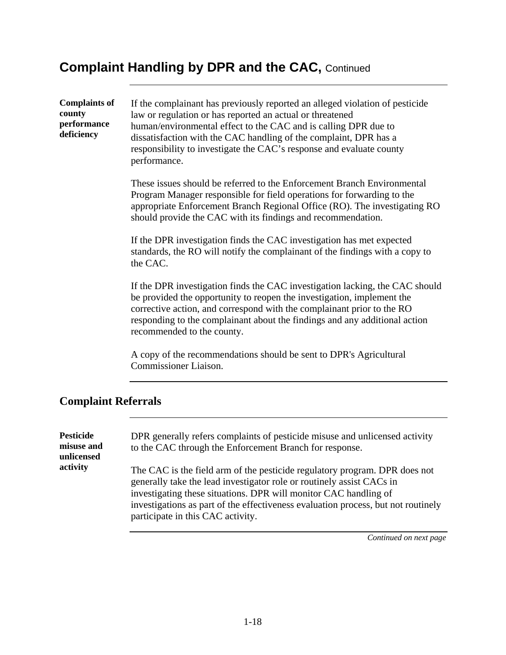**Complaints of county performance deficiency**  If the complainant has previously reported an alleged violation of pesticide law or regulation or has reported an actual or threatened human/environmental effect to the CAC and is calling DPR due to dissatisfaction with the CAC handling of the complaint, DPR has a responsibility to investigate the CAC's response and evaluate county performance. These issues should be referred to the Enforcement Branch Environmental Program Manager responsible for field operations for forwarding to the appropriate Enforcement Branch Regional Office (RO). The investigating RO should provide the CAC with its findings and recommendation. If the DPR investigation finds the CAC investigation has met expected standards, the RO will notify the complainant of the findings with a copy to the CAC. If the DPR investigation finds the CAC investigation lacking, the CAC should be provided the opportunity to reopen the investigation, implement the corrective action, and correspond with the complainant prior to the RO responding to the complainant about the findings and any additional action recommended to the county. A copy of the recommendations should be sent to DPR's Agricultural Commissioner Liaison.

#### **Complaint Referrals**

| <b>Pesticide</b><br>misuse and<br>unlicensed | DPR generally refers complaints of pesticide misuse and unlicensed activity<br>to the CAC through the Enforcement Branch for response.                                                                                                                                                                                                            |
|----------------------------------------------|---------------------------------------------------------------------------------------------------------------------------------------------------------------------------------------------------------------------------------------------------------------------------------------------------------------------------------------------------|
| activity                                     | The CAC is the field arm of the pesticide regulatory program. DPR does not<br>generally take the lead investigator role or routinely assist CACs in<br>investigating these situations. DPR will monitor CAC handling of<br>investigations as part of the effectiveness evaluation process, but not routinely<br>participate in this CAC activity. |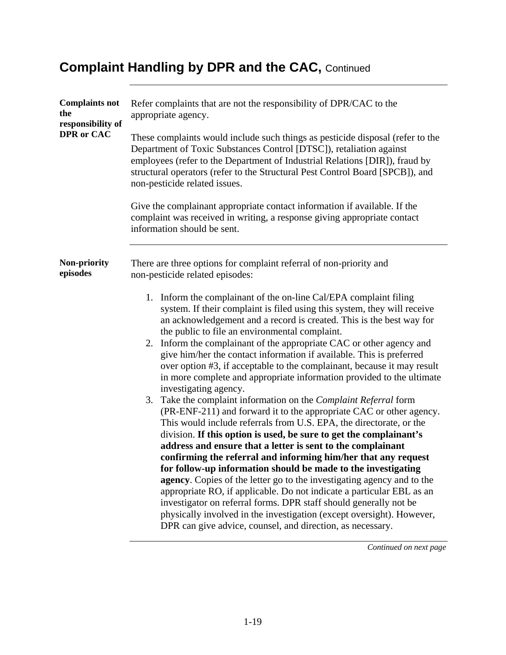| <b>Complaints not</b><br>the<br>responsibility of<br><b>DPR</b> or CAC | Refer complaints that are not the responsibility of DPR/CAC to the<br>appropriate agency.                                                                                                                                                                                                                                                                                                                                                                                                                                                                                                                                                                                                                                                                                                                                                             |  |
|------------------------------------------------------------------------|-------------------------------------------------------------------------------------------------------------------------------------------------------------------------------------------------------------------------------------------------------------------------------------------------------------------------------------------------------------------------------------------------------------------------------------------------------------------------------------------------------------------------------------------------------------------------------------------------------------------------------------------------------------------------------------------------------------------------------------------------------------------------------------------------------------------------------------------------------|--|
|                                                                        | These complaints would include such things as pesticide disposal (refer to the<br>Department of Toxic Substances Control [DTSC]), retaliation against<br>employees (refer to the Department of Industrial Relations [DIR]), fraud by<br>structural operators (refer to the Structural Pest Control Board [SPCB]), and<br>non-pesticide related issues.                                                                                                                                                                                                                                                                                                                                                                                                                                                                                                |  |
|                                                                        | Give the complainant appropriate contact information if available. If the<br>complaint was received in writing, a response giving appropriate contact<br>information should be sent.                                                                                                                                                                                                                                                                                                                                                                                                                                                                                                                                                                                                                                                                  |  |
| Non-priority<br>episodes                                               | There are three options for complaint referral of non-priority and<br>non-pesticide related episodes:                                                                                                                                                                                                                                                                                                                                                                                                                                                                                                                                                                                                                                                                                                                                                 |  |
|                                                                        | 1. Inform the complainant of the on-line Cal/EPA complaint filing<br>system. If their complaint is filed using this system, they will receive<br>an acknowledgement and a record is created. This is the best way for<br>the public to file an environmental complaint.<br>2. Inform the complainant of the appropriate CAC or other agency and<br>give him/her the contact information if available. This is preferred<br>over option #3, if acceptable to the complainant, because it may result<br>in more complete and appropriate information provided to the ultimate<br>investigating agency.                                                                                                                                                                                                                                                  |  |
|                                                                        | 3. Take the complaint information on the Complaint Referral form<br>(PR-ENF-211) and forward it to the appropriate CAC or other agency.<br>This would include referrals from U.S. EPA, the directorate, or the<br>division. If this option is used, be sure to get the complainant's<br>address and ensure that a letter is sent to the complainant<br>confirming the referral and informing him/her that any request<br>for follow-up information should be made to the investigating<br>agency. Copies of the letter go to the investigating agency and to the<br>appropriate RO, if applicable. Do not indicate a particular EBL as an<br>investigator on referral forms. DPR staff should generally not be<br>physically involved in the investigation (except oversight). However,<br>DPR can give advice, counsel, and direction, as necessary. |  |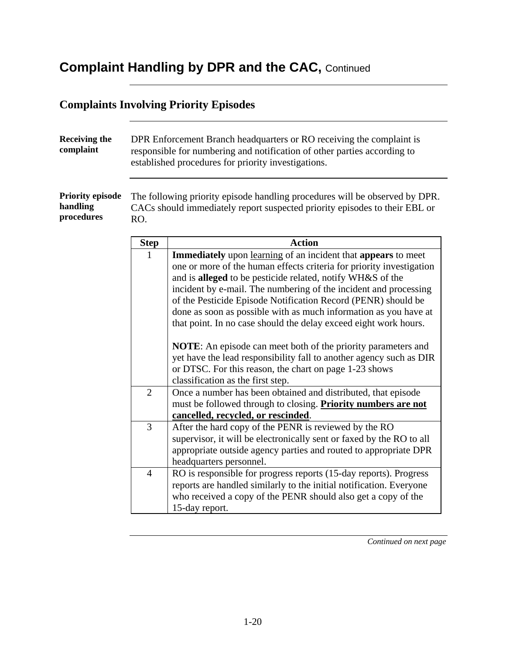## **Complaints Involving Priority Episodes**

| <b>Receiving the</b><br>complaint                 | DPR Enforcement Branch headquarters or RO receiving the complaint is<br>responsible for numbering and notification of other parties according to<br>established procedures for priority investigations. |                                                                                                                                                                                                                                                                                                                                                                                                                                                                                                                                                                                                                                                                                                                                              |
|---------------------------------------------------|---------------------------------------------------------------------------------------------------------------------------------------------------------------------------------------------------------|----------------------------------------------------------------------------------------------------------------------------------------------------------------------------------------------------------------------------------------------------------------------------------------------------------------------------------------------------------------------------------------------------------------------------------------------------------------------------------------------------------------------------------------------------------------------------------------------------------------------------------------------------------------------------------------------------------------------------------------------|
| <b>Priority episode</b><br>handling<br>procedures | The following priority episode handling procedures will be observed by DPR.<br>CACs should immediately report suspected priority episodes to their EBL or<br>RO.                                        |                                                                                                                                                                                                                                                                                                                                                                                                                                                                                                                                                                                                                                                                                                                                              |
|                                                   | <b>Step</b>                                                                                                                                                                                             | <b>Action</b>                                                                                                                                                                                                                                                                                                                                                                                                                                                                                                                                                                                                                                                                                                                                |
|                                                   | 1                                                                                                                                                                                                       | <b>Immediately</b> upon learning of an incident that <b>appears</b> to meet<br>one or more of the human effects criteria for priority investigation<br>and is alleged to be pesticide related, notify WH&S of the<br>incident by e-mail. The numbering of the incident and processing<br>of the Pesticide Episode Notification Record (PENR) should be<br>done as soon as possible with as much information as you have at<br>that point. In no case should the delay exceed eight work hours.<br><b>NOTE:</b> An episode can meet both of the priority parameters and<br>yet have the lead responsibility fall to another agency such as DIR<br>or DTSC. For this reason, the chart on page 1-23 shows<br>classification as the first step. |
|                                                   | $\overline{2}$                                                                                                                                                                                          | Once a number has been obtained and distributed, that episode<br>must be followed through to closing. Priority numbers are not<br>cancelled, recycled, or rescinded.                                                                                                                                                                                                                                                                                                                                                                                                                                                                                                                                                                         |
|                                                   | $\overline{3}$                                                                                                                                                                                          | After the hard copy of the PENR is reviewed by the RO<br>supervisor, it will be electronically sent or faxed by the RO to all<br>appropriate outside agency parties and routed to appropriate DPR<br>headquarters personnel.                                                                                                                                                                                                                                                                                                                                                                                                                                                                                                                 |
|                                                   | $\overline{4}$                                                                                                                                                                                          | RO is responsible for progress reports (15-day reports). Progress<br>reports are handled similarly to the initial notification. Everyone<br>who received a copy of the PENR should also get a copy of the<br>15-day report.                                                                                                                                                                                                                                                                                                                                                                                                                                                                                                                  |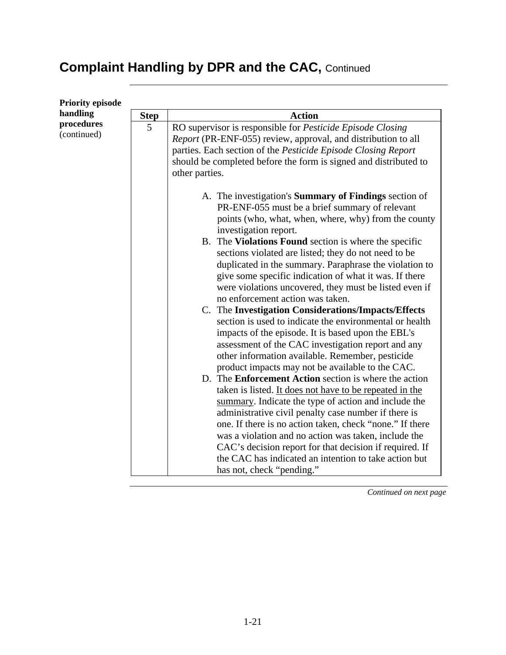| <b>Step</b> | <b>Action</b>                                                                                                                                                                                                                                                                                                                                                                                                                                                                                                                                                                                                                                                                                                                                                                                                                                                                                                                                                                                                                                                                                                                                                                                                                                                                                                                                               |  |  |
|-------------|-------------------------------------------------------------------------------------------------------------------------------------------------------------------------------------------------------------------------------------------------------------------------------------------------------------------------------------------------------------------------------------------------------------------------------------------------------------------------------------------------------------------------------------------------------------------------------------------------------------------------------------------------------------------------------------------------------------------------------------------------------------------------------------------------------------------------------------------------------------------------------------------------------------------------------------------------------------------------------------------------------------------------------------------------------------------------------------------------------------------------------------------------------------------------------------------------------------------------------------------------------------------------------------------------------------------------------------------------------------|--|--|
| 5           | RO supervisor is responsible for Pesticide Episode Closing<br>Report (PR-ENF-055) review, approval, and distribution to all<br>parties. Each section of the Pesticide Episode Closing Report<br>should be completed before the form is signed and distributed to<br>other parties.                                                                                                                                                                                                                                                                                                                                                                                                                                                                                                                                                                                                                                                                                                                                                                                                                                                                                                                                                                                                                                                                          |  |  |
|             | A. The investigation's <b>Summary of Findings</b> section of<br>PR-ENF-055 must be a brief summary of relevant<br>points (who, what, when, where, why) from the county<br>investigation report.<br>B. The Violations Found section is where the specific<br>sections violated are listed; they do not need to be<br>duplicated in the summary. Paraphrase the violation to<br>give some specific indication of what it was. If there<br>were violations uncovered, they must be listed even if<br>no enforcement action was taken.<br>C. The Investigation Considerations/Impacts/Effects<br>section is used to indicate the environmental or health<br>impacts of the episode. It is based upon the EBL's<br>assessment of the CAC investigation report and any<br>other information available. Remember, pesticide<br>product impacts may not be available to the CAC.<br>D. The <b>Enforcement Action</b> section is where the action<br>taken is listed. It does not have to be repeated in the<br>summary. Indicate the type of action and include the<br>administrative civil penalty case number if there is<br>one. If there is no action taken, check "none." If there<br>was a violation and no action was taken, include the<br>CAC's decision report for that decision if required. If<br>the CAC has indicated an intention to take action but |  |  |
|             |                                                                                                                                                                                                                                                                                                                                                                                                                                                                                                                                                                                                                                                                                                                                                                                                                                                                                                                                                                                                                                                                                                                                                                                                                                                                                                                                                             |  |  |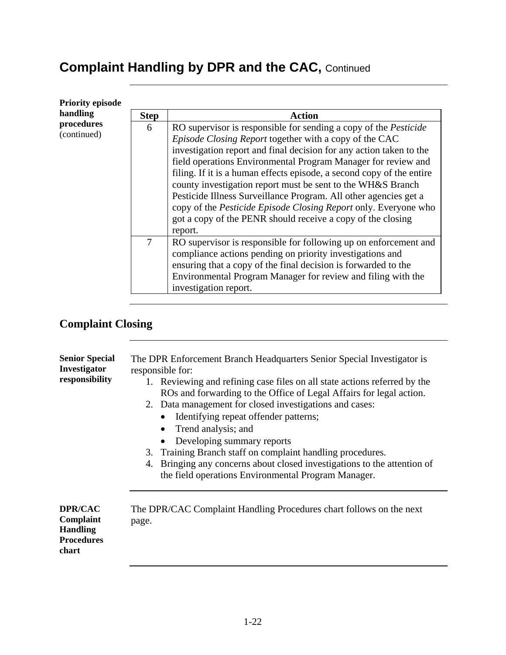| <b>Priority episode</b>   |             |                                                                                                                                                                                                                                                                                                                                                                                                                                                                                                                                                                                                                                    |
|---------------------------|-------------|------------------------------------------------------------------------------------------------------------------------------------------------------------------------------------------------------------------------------------------------------------------------------------------------------------------------------------------------------------------------------------------------------------------------------------------------------------------------------------------------------------------------------------------------------------------------------------------------------------------------------------|
| handling                  | <b>Step</b> | <b>Action</b>                                                                                                                                                                                                                                                                                                                                                                                                                                                                                                                                                                                                                      |
| procedures<br>(continued) | 6           | RO supervisor is responsible for sending a copy of the <i>Pesticide</i><br>Episode Closing Report together with a copy of the CAC<br>investigation report and final decision for any action taken to the<br>field operations Environmental Program Manager for review and<br>filing. If it is a human effects episode, a second copy of the entire<br>county investigation report must be sent to the WH&S Branch<br>Pesticide Illness Surveillance Program. All other agencies get a<br>copy of the Pesticide Episode Closing Report only. Everyone who<br>got a copy of the PENR should receive a copy of the closing<br>report. |
|                           | 7           | RO supervisor is responsible for following up on enforcement and<br>compliance actions pending on priority investigations and<br>ensuring that a copy of the final decision is forwarded to the<br>Environmental Program Manager for review and filing with the<br>investigation report.                                                                                                                                                                                                                                                                                                                                           |

## **Complaint Closing**

| <b>Senior Special</b><br>Investigator<br>responsibility               | The DPR Enforcement Branch Headquarters Senior Special Investigator is<br>responsible for:<br>1. Reviewing and refining case files on all state actions referred by the<br>ROs and forwarding to the Office of Legal Affairs for legal action.<br>2. Data management for closed investigations and cases:<br>Identifying repeat offender patterns;<br>$\bullet$<br>Trend analysis; and<br>$\bullet$<br>Developing summary reports<br>٠<br>3. Training Branch staff on complaint handling procedures.<br>4. Bringing any concerns about closed investigations to the attention of<br>the field operations Environmental Program Manager. |
|-----------------------------------------------------------------------|-----------------------------------------------------------------------------------------------------------------------------------------------------------------------------------------------------------------------------------------------------------------------------------------------------------------------------------------------------------------------------------------------------------------------------------------------------------------------------------------------------------------------------------------------------------------------------------------------------------------------------------------|
| DPR/CAC<br>Complaint<br><b>Handling</b><br><b>Procedures</b><br>chart | The DPR/CAC Complaint Handling Procedures chart follows on the next<br>page.                                                                                                                                                                                                                                                                                                                                                                                                                                                                                                                                                            |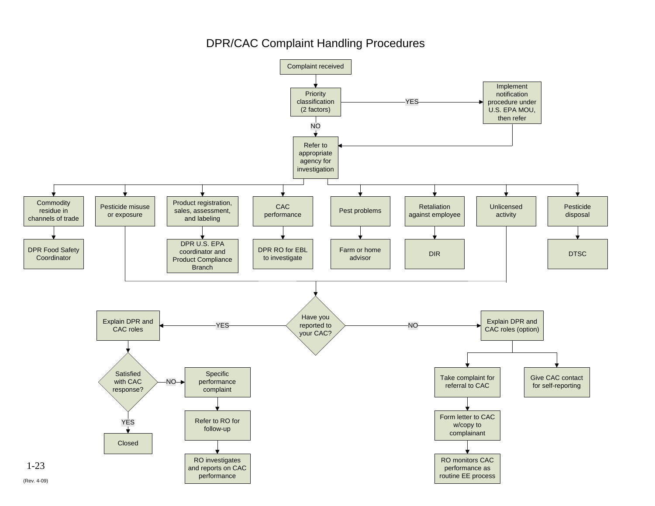#### DPR/CAC Complaint Handling Procedures

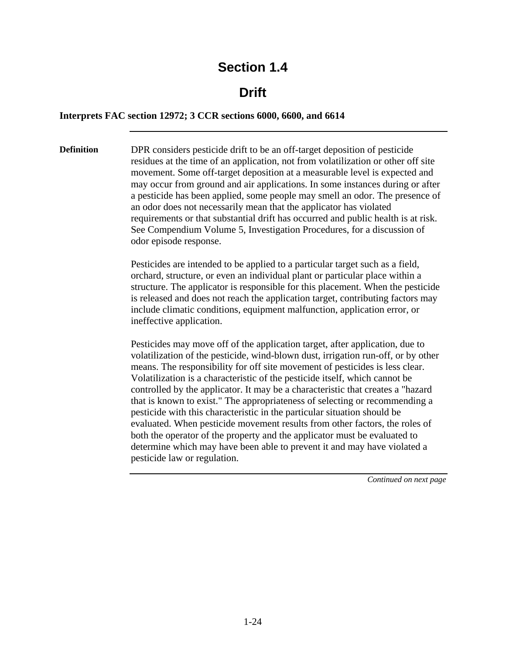#### **Drift**

#### **Interprets FAC section 12972; 3 CCR sections 6000, 6600, and 6614**

**Definition** DPR considers pesticide drift to be an off-target deposition of pesticide residues at the time of an application, not from volatilization or other off site movement. Some off-target deposition at a measurable level is expected and may occur from ground and air applications. In some instances during or after a pesticide has been applied, some people may smell an odor. The presence of an odor does not necessarily mean that the applicator has violated requirements or that substantial drift has occurred and public health is at risk. See Compendium Volume 5, Investigation Procedures, for a discussion of odor episode response.

> Pesticides are intended to be applied to a particular target such as a field, orchard, structure, or even an individual plant or particular place within a structure. The applicator is responsible for this placement. When the pesticide is released and does not reach the application target, contributing factors may include climatic conditions, equipment malfunction, application error, or ineffective application.

> Pesticides may move off of the application target, after application, due to volatilization of the pesticide, wind-blown dust, irrigation run-off, or by other means. The responsibility for off site movement of pesticides is less clear. Volatilization is a characteristic of the pesticide itself, which cannot be controlled by the applicator. It may be a characteristic that creates a "hazard that is known to exist." The appropriateness of selecting or recommending a pesticide with this characteristic in the particular situation should be evaluated. When pesticide movement results from other factors, the roles of both the operator of the property and the applicator must be evaluated to determine which may have been able to prevent it and may have violated a pesticide law or regulation.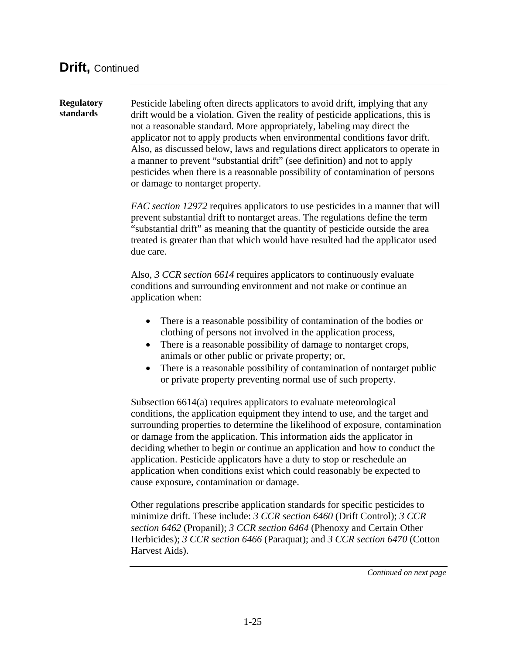**Regulatory standards** Pesticide labeling often directs applicators to avoid drift, implying that any drift would be a violation. Given the reality of pesticide applications, this is not a reasonable standard. More appropriately, labeling may direct the applicator not to apply products when environmental conditions favor drift. Also, as discussed below, laws and regulations direct applicators to operate in a manner to prevent "substantial drift" (see definition) and not to apply pesticides when there is a reasonable possibility of contamination of persons or damage to nontarget property. *FAC section 12972* requires applicators to use pesticides in a manner that will prevent substantial drift to nontarget areas. The regulations define the term "substantial drift" as meaning that the quantity of pesticide outside the area treated is greater than that which would have resulted had the applicator used due care. Also, *3 CCR section 6614* requires applicators to continuously evaluate conditions and surrounding environment and not make or continue an application when: • There is a reasonable possibility of contamination of the bodies or clothing of persons not involved in the application process, • There is a reasonable possibility of damage to nontarget crops, animals or other public or private property; or, • There is a reasonable possibility of contamination of nontarget public or private property preventing normal use of such property. Subsection 6614(a) requires applicators to evaluate meteorological conditions, the application equipment they intend to use, and the target and surrounding properties to determine the likelihood of exposure, contamination or damage from the application. This information aids the applicator in deciding whether to begin or continue an application and how to conduct the application. Pesticide applicators have a duty to stop or reschedule an application when conditions exist which could reasonably be expected to cause exposure, contamination or damage. Other regulations prescribe application standards for specific pesticides to minimize drift. These include: *3 CCR section 6460* (Drift Control); *3 CCR section 6462* (Propanil); *3 CCR section 6464* (Phenoxy and Certain Other Herbicides); *3 CCR section 6466* (Paraquat); and *3 CCR section 6470* (Cotton Harvest Aids).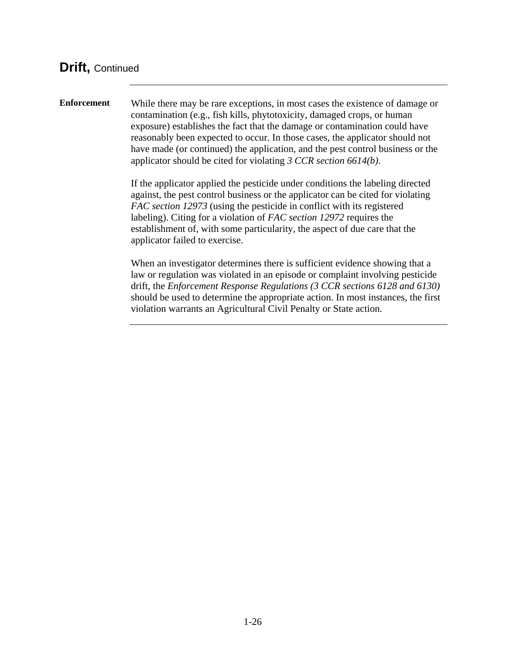**Enforcement** While there may be rare exceptions, in most cases the existence of damage or contamination (e.g., fish kills, phytotoxicity, damaged crops, or human exposure) establishes the fact that the damage or contamination could have reasonably been expected to occur. In those cases, the applicator should not have made (or continued) the application, and the pest control business or the applicator should be cited for violating *3 CCR section 6614(b)*.

> If the applicator applied the pesticide under conditions the labeling directed against, the pest control business or the applicator can be cited for violating *FAC section 12973* (using the pesticide in conflict with its registered labeling). Citing for a violation of *FAC section 12972* requires the establishment of, with some particularity, the aspect of due care that the applicator failed to exercise.

When an investigator determines there is sufficient evidence showing that a law or regulation was violated in an episode or complaint involving pesticide drift, the *Enforcement Response Regulations (3 CCR sections 6128 and 6130)*  should be used to determine the appropriate action. In most instances, the first violation warrants an Agricultural Civil Penalty or State action.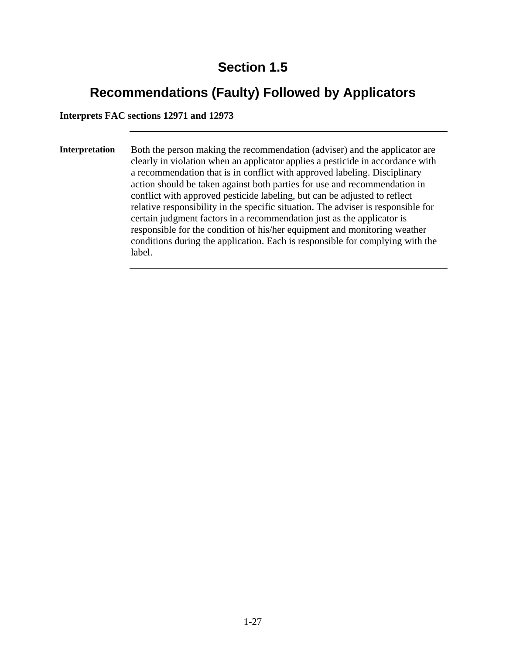# **Recommendations (Faulty) Followed by Applicators**

**Interprets FAC sections 12971 and 12973** 

**Interpretation** Both the person making the recommendation (adviser) and the applicator are clearly in violation when an applicator applies a pesticide in accordance with a recommendation that is in conflict with approved labeling. Disciplinary action should be taken against both parties for use and recommendation in conflict with approved pesticide labeling, but can be adjusted to reflect relative responsibility in the specific situation. The adviser is responsible for certain judgment factors in a recommendation just as the applicator is responsible for the condition of his/her equipment and monitoring weather conditions during the application. Each is responsible for complying with the label.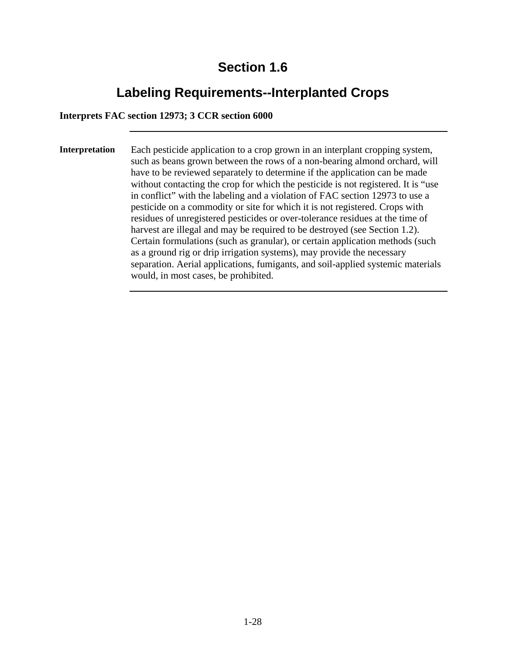# **Labeling Requirements--Interplanted Crops**

#### **Interprets FAC section 12973; 3 CCR section 6000**

**Interpretation** Each pesticide application to a crop grown in an interplant cropping system, such as beans grown between the rows of a non-bearing almond orchard, will have to be reviewed separately to determine if the application can be made without contacting the crop for which the pesticide is not registered. It is "use in conflict" with the labeling and a violation of FAC section 12973 to use a pesticide on a commodity or site for which it is not registered. Crops with residues of unregistered pesticides or over-tolerance residues at the time of harvest are illegal and may be required to be destroyed (see Section 1.2). Certain formulations (such as granular), or certain application methods (such as a ground rig or drip irrigation systems), may provide the necessary separation. Aerial applications, fumigants, and soil-applied systemic materials would, in most cases, be prohibited.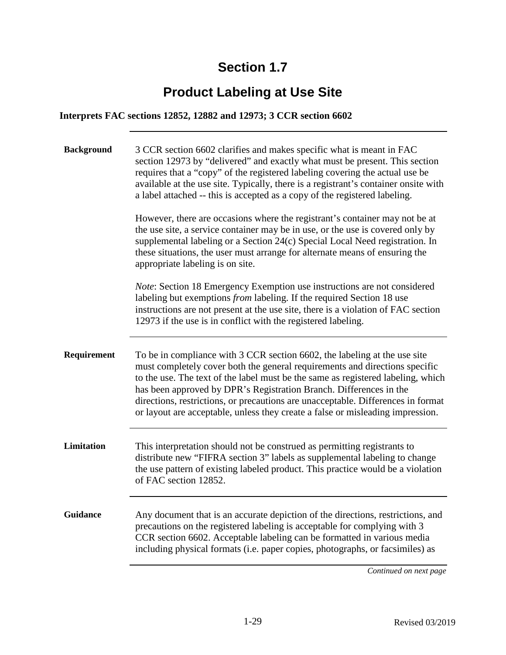# **Product Labeling at Use Site**

#### **Interprets FAC sections 12852, 12882 and 12973; 3 CCR section 6602**

| <b>Background</b> | 3 CCR section 6602 clarifies and makes specific what is meant in FAC<br>section 12973 by "delivered" and exactly what must be present. This section<br>requires that a "copy" of the registered labeling covering the actual use be<br>available at the use site. Typically, there is a registrant's container onsite with<br>a label attached -- this is accepted as a copy of the registered labeling.                                                                                 |
|-------------------|------------------------------------------------------------------------------------------------------------------------------------------------------------------------------------------------------------------------------------------------------------------------------------------------------------------------------------------------------------------------------------------------------------------------------------------------------------------------------------------|
|                   | However, there are occasions where the registrant's container may not be at<br>the use site, a service container may be in use, or the use is covered only by<br>supplemental labeling or a Section 24(c) Special Local Need registration. In<br>these situations, the user must arrange for alternate means of ensuring the<br>appropriate labeling is on site.                                                                                                                         |
|                   | Note: Section 18 Emergency Exemption use instructions are not considered<br>labeling but exemptions from labeling. If the required Section 18 use<br>instructions are not present at the use site, there is a violation of FAC section<br>12973 if the use is in conflict with the registered labeling.                                                                                                                                                                                  |
| Requirement       | To be in compliance with 3 CCR section 6602, the labeling at the use site<br>must completely cover both the general requirements and directions specific<br>to the use. The text of the label must be the same as registered labeling, which<br>has been approved by DPR's Registration Branch. Differences in the<br>directions, restrictions, or precautions are unacceptable. Differences in format<br>or layout are acceptable, unless they create a false or misleading impression. |
| Limitation        | This interpretation should not be construed as permitting registrants to<br>distribute new "FIFRA section 3" labels as supplemental labeling to change<br>the use pattern of existing labeled product. This practice would be a violation<br>of FAC section 12852.                                                                                                                                                                                                                       |
| <b>Guidance</b>   | Any document that is an accurate depiction of the directions, restrictions, and<br>precautions on the registered labeling is acceptable for complying with 3<br>CCR section 6602. Acceptable labeling can be formatted in various media<br>including physical formats (i.e. paper copies, photographs, or facsimiles) as                                                                                                                                                                 |
|                   | Continued on next page                                                                                                                                                                                                                                                                                                                                                                                                                                                                   |

Revised 03/2019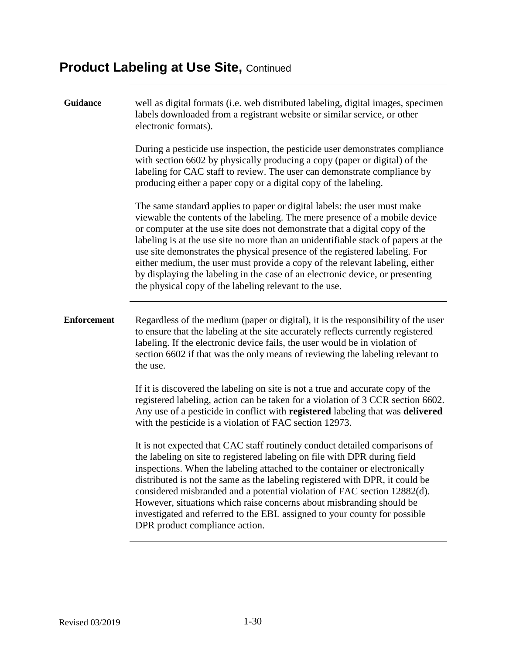# **Product Labeling at Use Site, Continued**

| <b>Guidance</b>    | well as digital formats (i.e. web distributed labeling, digital images, specimen<br>labels downloaded from a registrant website or similar service, or other<br>electronic formats).                                                                                                                                                                                                                                                                                                                                                                                                                                                  |
|--------------------|---------------------------------------------------------------------------------------------------------------------------------------------------------------------------------------------------------------------------------------------------------------------------------------------------------------------------------------------------------------------------------------------------------------------------------------------------------------------------------------------------------------------------------------------------------------------------------------------------------------------------------------|
|                    | During a pesticide use inspection, the pesticide user demonstrates compliance<br>with section 6602 by physically producing a copy (paper or digital) of the<br>labeling for CAC staff to review. The user can demonstrate compliance by<br>producing either a paper copy or a digital copy of the labeling.                                                                                                                                                                                                                                                                                                                           |
|                    | The same standard applies to paper or digital labels: the user must make<br>viewable the contents of the labeling. The mere presence of a mobile device<br>or computer at the use site does not demonstrate that a digital copy of the<br>labeling is at the use site no more than an unidentifiable stack of papers at the<br>use site demonstrates the physical presence of the registered labeling. For<br>either medium, the user must provide a copy of the relevant labeling, either<br>by displaying the labeling in the case of an electronic device, or presenting<br>the physical copy of the labeling relevant to the use. |
| <b>Enforcement</b> | Regardless of the medium (paper or digital), it is the responsibility of the user<br>to ensure that the labeling at the site accurately reflects currently registered<br>labeling. If the electronic device fails, the user would be in violation of<br>section 6602 if that was the only means of reviewing the labeling relevant to<br>the use.                                                                                                                                                                                                                                                                                     |
|                    | If it is discovered the labeling on site is not a true and accurate copy of the<br>registered labeling, action can be taken for a violation of 3 CCR section 6602.<br>Any use of a pesticide in conflict with registered labeling that was delivered<br>with the pesticide is a violation of FAC section 12973.                                                                                                                                                                                                                                                                                                                       |
|                    | It is not expected that CAC staff routinely conduct detailed comparisons of<br>the labeling on site to registered labeling on file with DPR during field<br>inspections. When the labeling attached to the container or electronically<br>distributed is not the same as the labeling registered with DPR, it could be<br>considered misbranded and a potential violation of FAC section 12882(d).<br>However, situations which raise concerns about misbranding should be<br>investigated and referred to the EBL assigned to your county for possible<br>DPR product compliance action.                                             |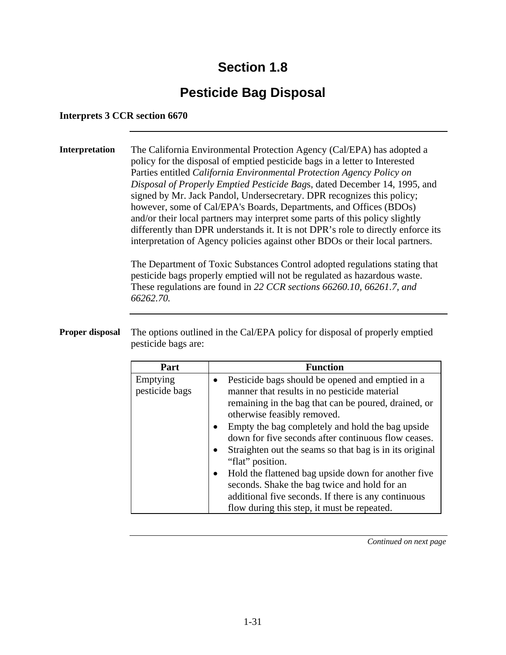# **Pesticide Bag Disposal**

#### **Interprets 3 CCR section 6670**

**Interpretation** The California Environmental Protection Agency (Cal/EPA) has adopted a policy for the disposal of emptied pesticide bags in a letter to Interested Parties entitled *California Environmental Protection Agency Policy on Disposal of Properly Emptied Pesticide Bag*s, dated December 14, 1995, and signed by Mr. Jack Pandol, Undersecretary. DPR recognizes this policy; however, some of Cal/EPA's Boards, Departments, and Offices (BDOs) and/or their local partners may interpret some parts of this policy slightly differently than DPR understands it. It is not DPR's role to directly enforce its interpretation of Agency policies against other BDOs or their local partners.

> The Department of Toxic Substances Control adopted regulations stating that pesticide bags properly emptied will not be regulated as hazardous waste. These regulations are found in *22 CCR sections 66260.10, 66261.7, and 66262.70.*

**Proper disposal** The options outlined in the Cal/EPA policy for disposal of properly emptied pesticide bags are:

| Part                       | <b>Function</b>                                                                                                                                                                                           |
|----------------------------|-----------------------------------------------------------------------------------------------------------------------------------------------------------------------------------------------------------|
| Emptying<br>pesticide bags | Pesticide bags should be opened and emptied in a<br>manner that results in no pesticide material<br>remaining in the bag that can be poured, drained, or<br>otherwise feasibly removed.                   |
|                            | Empty the bag completely and hold the bag upside<br>down for five seconds after continuous flow ceases.<br>Straighten out the seams so that bag is in its original<br>"flat" position.                    |
|                            | Hold the flattened bag upside down for another five<br>seconds. Shake the bag twice and hold for an<br>additional five seconds. If there is any continuous<br>flow during this step, it must be repeated. |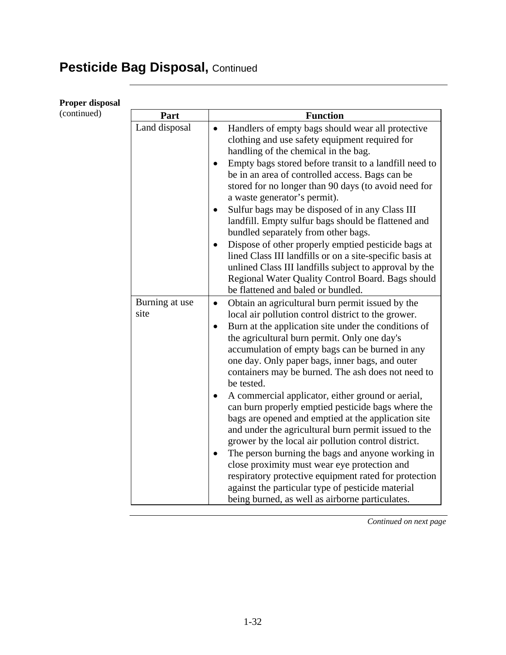# Pesticide Bag Disposal, Continued

**Proper disposal** 

| Proper disposai |                        |                                                                                                                                                                                                                                                                                                                                                                                                                                                                                                                |
|-----------------|------------------------|----------------------------------------------------------------------------------------------------------------------------------------------------------------------------------------------------------------------------------------------------------------------------------------------------------------------------------------------------------------------------------------------------------------------------------------------------------------------------------------------------------------|
| (continued)     | Part                   | <b>Function</b>                                                                                                                                                                                                                                                                                                                                                                                                                                                                                                |
|                 | Land disposal          | Handlers of empty bags should wear all protective<br>$\bullet$<br>clothing and use safety equipment required for<br>handling of the chemical in the bag.<br>Empty bags stored before transit to a landfill need to<br>be in an area of controlled access. Bags can be<br>stored for no longer than 90 days (to avoid need for<br>a waste generator's permit).<br>Sulfur bags may be disposed of in any Class III<br>landfill. Empty sulfur bags should be flattened and<br>bundled separately from other bags. |
|                 |                        | Dispose of other properly emptied pesticide bags at<br>$\bullet$<br>lined Class III landfills or on a site-specific basis at<br>unlined Class III landfills subject to approval by the<br>Regional Water Quality Control Board. Bags should<br>be flattened and baled or bundled.                                                                                                                                                                                                                              |
|                 | Burning at use<br>site | Obtain an agricultural burn permit issued by the<br>$\bullet$<br>local air pollution control district to the grower.<br>Burn at the application site under the conditions of<br>$\bullet$<br>the agricultural burn permit. Only one day's<br>accumulation of empty bags can be burned in any<br>one day. Only paper bags, inner bags, and outer<br>containers may be burned. The ash does not need to<br>be tested.<br>A commercial applicator, either ground or aerial,<br>$\bullet$                          |
|                 |                        | can burn properly emptied pesticide bags where the<br>bags are opened and emptied at the application site<br>and under the agricultural burn permit issued to the<br>grower by the local air pollution control district.<br>The person burning the bags and anyone working in<br>$\bullet$<br>close proximity must wear eye protection and<br>respiratory protective equipment rated for protection<br>against the particular type of pesticide material<br>being burned, as well as airborne particulates.    |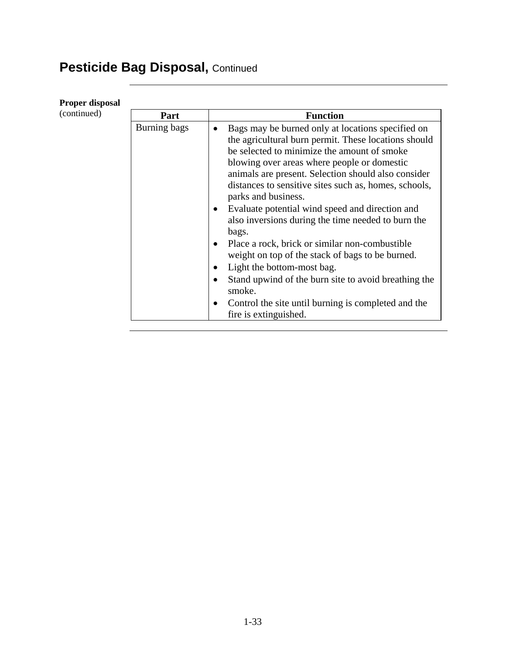# Pesticide Bag Disposal, Continued

**Proper disposal** 

| (continued) | Part         | <b>Function</b>                                                   |
|-------------|--------------|-------------------------------------------------------------------|
|             | Burning bags | Bags may be burned only at locations specified on<br>$\bullet$    |
|             |              | the agricultural burn permit. These locations should              |
|             |              | be selected to minimize the amount of smoke                       |
|             |              | blowing over areas where people or domestic                       |
|             |              | animals are present. Selection should also consider               |
|             |              | distances to sensitive sites such as, homes, schools,             |
|             |              | parks and business.                                               |
|             |              | Evaluate potential wind speed and direction and<br>$\bullet$      |
|             |              | also inversions during the time needed to burn the                |
|             |              | bags.                                                             |
|             |              | Place a rock, brick or similar non-combustible<br>$\bullet$       |
|             |              | weight on top of the stack of bags to be burned.                  |
|             |              | Light the bottom-most bag.<br>٠                                   |
|             |              | Stand upwind of the burn site to avoid breathing the<br>$\bullet$ |
|             |              | smoke.                                                            |
|             |              | Control the site until burning is completed and the<br>$\bullet$  |
|             |              | fire is extinguished.                                             |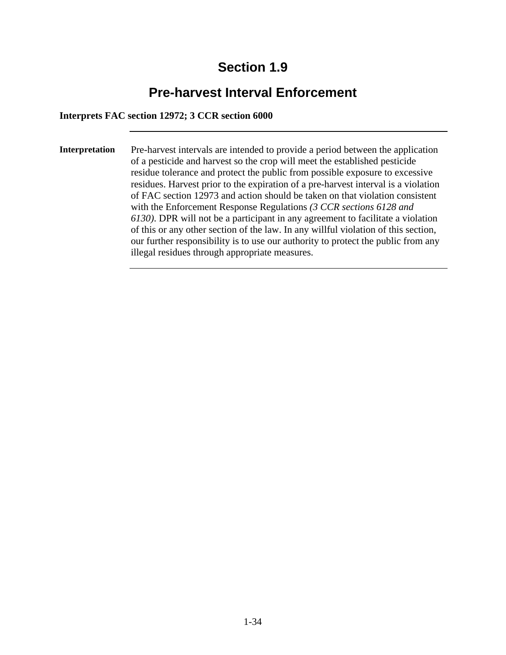# **Pre-harvest Interval Enforcement**

#### **Interprets FAC section 12972; 3 CCR section 6000**

**Interpretation** Pre-harvest intervals are intended to provide a period between the application of a pesticide and harvest so the crop will meet the established pesticide residue tolerance and protect the public from possible exposure to excessive residues. Harvest prior to the expiration of a pre-harvest interval is a violation of FAC section 12973 and action should be taken on that violation consistent with the Enforcement Response Regulations *(3 CCR sections 6128 and 6130)*. DPR will not be a participant in any agreement to facilitate a violation of this or any other section of the law. In any willful violation of this section, our further responsibility is to use our authority to protect the public from any illegal residues through appropriate measures.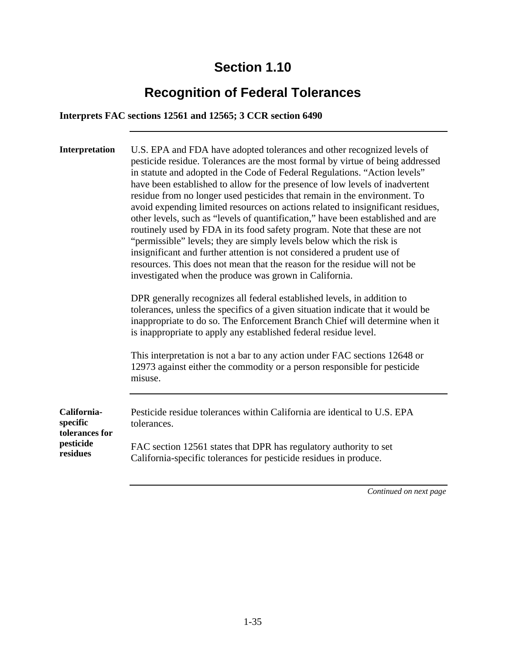# **Recognition of Federal Tolerances**

#### **Interprets FAC sections 12561 and 12565; 3 CCR section 6490**

| Interpretation                            | U.S. EPA and FDA have adopted tolerances and other recognized levels of<br>pesticide residue. Tolerances are the most formal by virtue of being addressed<br>in statute and adopted in the Code of Federal Regulations. "Action levels"<br>have been established to allow for the presence of low levels of inadvertent<br>residue from no longer used pesticides that remain in the environment. To<br>avoid expending limited resources on actions related to insignificant residues,<br>other levels, such as "levels of quantification," have been established and are<br>routinely used by FDA in its food safety program. Note that these are not<br>"permissible" levels; they are simply levels below which the risk is<br>insignificant and further attention is not considered a prudent use of<br>resources. This does not mean that the reason for the residue will not be<br>investigated when the produce was grown in California.<br>DPR generally recognizes all federal established levels, in addition to<br>tolerances, unless the specifics of a given situation indicate that it would be<br>inappropriate to do so. The Enforcement Branch Chief will determine when it<br>is inappropriate to apply any established federal residue level.<br>This interpretation is not a bar to any action under FAC sections 12648 or<br>12973 against either the commodity or a person responsible for pesticide<br>misuse. |
|-------------------------------------------|----------------------------------------------------------------------------------------------------------------------------------------------------------------------------------------------------------------------------------------------------------------------------------------------------------------------------------------------------------------------------------------------------------------------------------------------------------------------------------------------------------------------------------------------------------------------------------------------------------------------------------------------------------------------------------------------------------------------------------------------------------------------------------------------------------------------------------------------------------------------------------------------------------------------------------------------------------------------------------------------------------------------------------------------------------------------------------------------------------------------------------------------------------------------------------------------------------------------------------------------------------------------------------------------------------------------------------------------------------------------------------------------------------------------------------------|
|                                           |                                                                                                                                                                                                                                                                                                                                                                                                                                                                                                                                                                                                                                                                                                                                                                                                                                                                                                                                                                                                                                                                                                                                                                                                                                                                                                                                                                                                                                        |
| California-<br>specific<br>tolerances for | Pesticide residue tolerances within California are identical to U.S. EPA<br>tolerances.                                                                                                                                                                                                                                                                                                                                                                                                                                                                                                                                                                                                                                                                                                                                                                                                                                                                                                                                                                                                                                                                                                                                                                                                                                                                                                                                                |
| pesticide<br>residues                     | FAC section 12561 states that DPR has regulatory authority to set<br>California-specific tolerances for pesticide residues in produce.                                                                                                                                                                                                                                                                                                                                                                                                                                                                                                                                                                                                                                                                                                                                                                                                                                                                                                                                                                                                                                                                                                                                                                                                                                                                                                 |
|                                           |                                                                                                                                                                                                                                                                                                                                                                                                                                                                                                                                                                                                                                                                                                                                                                                                                                                                                                                                                                                                                                                                                                                                                                                                                                                                                                                                                                                                                                        |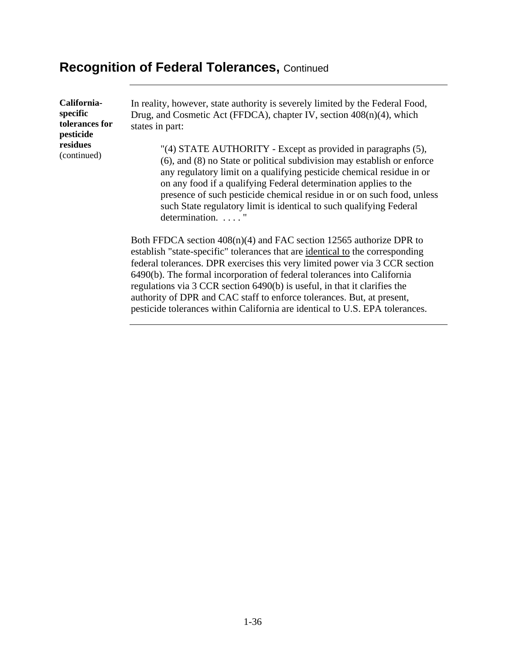#### **Recognition of Federal Tolerances,** Continued

**Californiaspecific tolerances for pesticide residues**  (continued)

In reality, however, state authority is severely limited by the Federal Food, Drug, and Cosmetic Act (FFDCA), chapter IV, section 408(n)(4), which states in part:

"(4) STATE AUTHORITY - Except as provided in paragraphs (5), (6), and (8) no State or political subdivision may establish or enforce any regulatory limit on a qualifying pesticide chemical residue in or on any food if a qualifying Federal determination applies to the presence of such pesticide chemical residue in or on such food, unless such State regulatory limit is identical to such qualifying Federal determination. . . . . "

Both FFDCA section 408(n)(4) and FAC section 12565 authorize DPR to establish "state-specific" tolerances that are identical to the corresponding federal tolerances. DPR exercises this very limited power via 3 CCR section 6490(b). The formal incorporation of federal tolerances into California regulations via 3 CCR section 6490(b) is useful, in that it clarifies the authority of DPR and CAC staff to enforce tolerances. But, at present, pesticide tolerances within California are identical to U.S. EPA tolerances.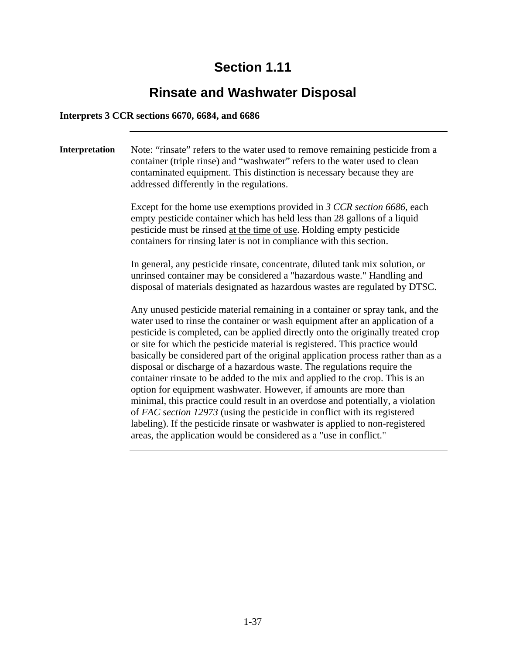# **Rinsate and Washwater Disposal**

#### **Interprets 3 CCR sections 6670, 6684, and 6686**

**Interpretation** Note: "rinsate" refers to the water used to remove remaining pesticide from a container (triple rinse) and "washwater" refers to the water used to clean contaminated equipment. This distinction is necessary because they are addressed differently in the regulations. Except for the home use exemptions provided in *3 CCR section 6686*, each empty pesticide container which has held less than 28 gallons of a liquid pesticide must be rinsed at the time of use. Holding empty pesticide containers for rinsing later is not in compliance with this section. In general, any pesticide rinsate, concentrate, diluted tank mix solution, or unrinsed container may be considered a "hazardous waste." Handling and disposal of materials designated as hazardous wastes are regulated by DTSC. Any unused pesticide material remaining in a container or spray tank, and the water used to rinse the container or wash equipment after an application of a pesticide is completed, can be applied directly onto the originally treated crop or site for which the pesticide material is registered. This practice would basically be considered part of the original application process rather than as a disposal or discharge of a hazardous waste. The regulations require the container rinsate to be added to the mix and applied to the crop. This is an option for equipment washwater. However, if amounts are more than minimal, this practice could result in an overdose and potentially, a violation of *FAC section 12973* (using the pesticide in conflict with its registered labeling). If the pesticide rinsate or washwater is applied to non-registered areas, the application would be considered as a "use in conflict."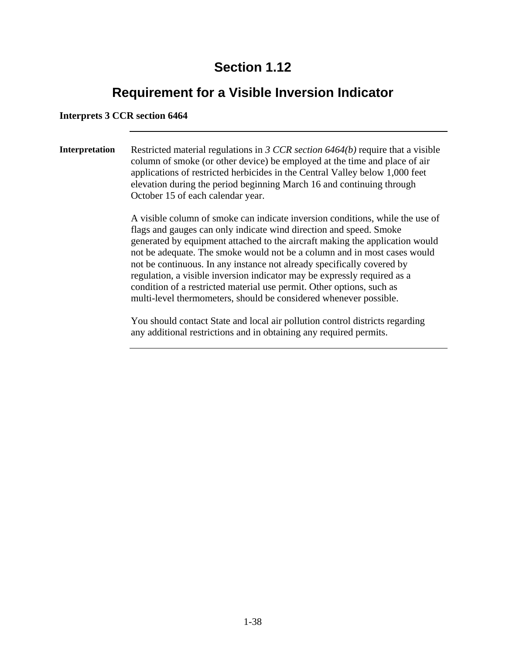# **Requirement for a Visible Inversion Indicator**

#### **Interprets 3 CCR section 6464**

**Interpretation** Restricted material regulations in *3 CCR section 6464(b)* require that a visible column of smoke (or other device) be employed at the time and place of air applications of restricted herbicides in the Central Valley below 1,000 feet elevation during the period beginning March 16 and continuing through October 15 of each calendar year.

> A visible column of smoke can indicate inversion conditions, while the use of flags and gauges can only indicate wind direction and speed. Smoke generated by equipment attached to the aircraft making the application would not be adequate. The smoke would not be a column and in most cases would not be continuous. In any instance not already specifically covered by regulation, a visible inversion indicator may be expressly required as a condition of a restricted material use permit. Other options, such as multi-level thermometers, should be considered whenever possible.

You should contact State and local air pollution control districts regarding any additional restrictions and in obtaining any required permits.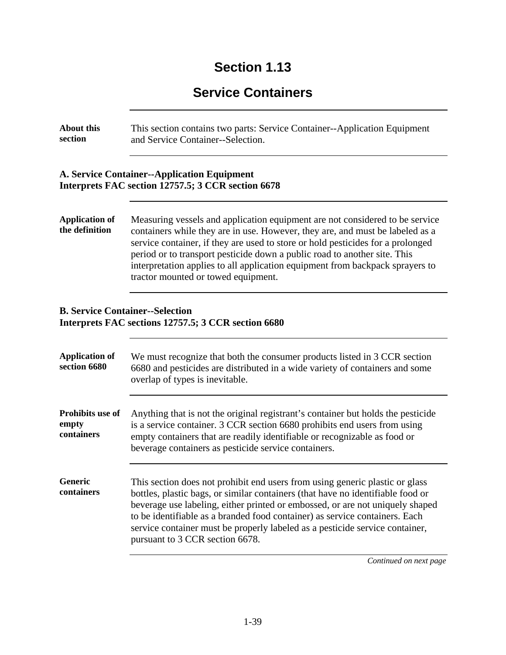# **Service Containers**

| <b>About this</b><br>section            | This section contains two parts: Service Container--Application Equipment<br>and Service Container--Selection.                                                                                                                                                                                                                                                                                                                                        |
|-----------------------------------------|-------------------------------------------------------------------------------------------------------------------------------------------------------------------------------------------------------------------------------------------------------------------------------------------------------------------------------------------------------------------------------------------------------------------------------------------------------|
|                                         | <b>A. Service Container--Application Equipment</b><br>Interprets FAC section 12757.5; 3 CCR section 6678                                                                                                                                                                                                                                                                                                                                              |
| <b>Application of</b><br>the definition | Measuring vessels and application equipment are not considered to be service<br>containers while they are in use. However, they are, and must be labeled as a<br>service container, if they are used to store or hold pesticides for a prolonged<br>period or to transport pesticide down a public road to another site. This<br>interpretation applies to all application equipment from backpack sprayers to<br>tractor mounted or towed equipment. |
| <b>B. Service Container--Selection</b>  | Interprets FAC sections 12757.5; 3 CCR section 6680                                                                                                                                                                                                                                                                                                                                                                                                   |
| <b>Application of</b><br>section 6680   | We must recognize that both the consumer products listed in 3 CCR section<br>6680 and pesticides are distributed in a wide variety of containers and some<br>overlap of types is inevitable.                                                                                                                                                                                                                                                          |
| Prohibits use of<br>empty<br>containers | Anything that is not the original registrant's container but holds the pesticide<br>is a service container. 3 CCR section 6680 prohibits end users from using<br>empty containers that are readily identifiable or recognizable as food or<br>beverage containers as pesticide service containers.                                                                                                                                                    |
| Generic<br>containers                   | This section does not prohibit end users from using generic plastic or glass<br>bottles, plastic bags, or similar containers (that have no identifiable food or<br>beverage use labeling, either printed or embossed, or are not uniquely shaped<br>to be identifiable as a branded food container) as service containers. Each<br>service container must be properly labeled as a pesticide service container,<br>pursuant to 3 CCR section 6678.    |
|                                         | Continued on next page                                                                                                                                                                                                                                                                                                                                                                                                                                |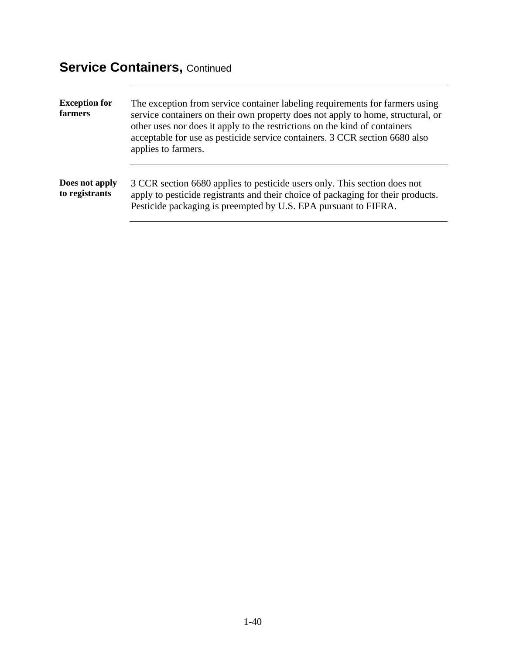# **Service Containers, Continued**

| <b>Exception for</b><br>farmers  | The exception from service container labeling requirements for farmers using<br>service containers on their own property does not apply to home, structural, or<br>other uses nor does it apply to the restrictions on the kind of containers<br>acceptable for use as pesticide service containers. 3 CCR section 6680 also<br>applies to farmers. |
|----------------------------------|-----------------------------------------------------------------------------------------------------------------------------------------------------------------------------------------------------------------------------------------------------------------------------------------------------------------------------------------------------|
| Does not apply<br>to registrants | 3 CCR section 6680 applies to pesticide users only. This section does not<br>apply to pesticide registrants and their choice of packaging for their products.<br>Pesticide packaging is preempted by U.S. EPA pursuant to FIFRA.                                                                                                                    |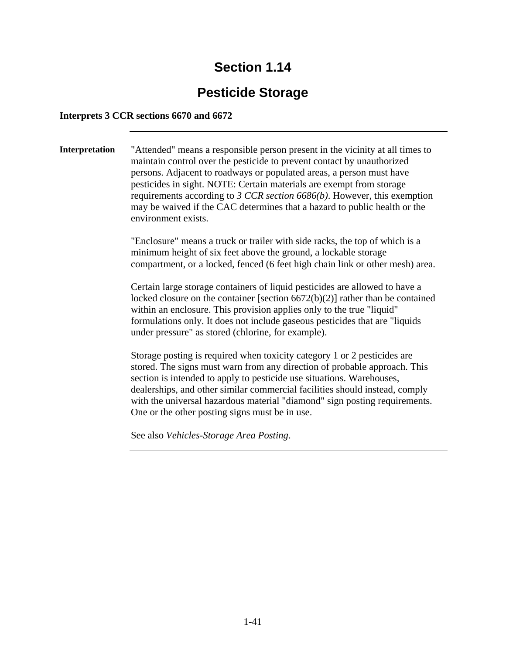# **Pesticide Storage**

#### **Interprets 3 CCR sections 6670 and 6672**

**Interpretation** "Attended" means a responsible person present in the vicinity at all times to maintain control over the pesticide to prevent contact by unauthorized persons. Adjacent to roadways or populated areas, a person must have pesticides in sight. NOTE: Certain materials are exempt from storage requirements according to *3 CCR section 6686(b)*. However, this exemption may be waived if the CAC determines that a hazard to public health or the environment exists. "Enclosure" means a truck or trailer with side racks, the top of which is a minimum height of six feet above the ground, a lockable storage compartment, or a locked, fenced (6 feet high chain link or other mesh) area. Certain large storage containers of liquid pesticides are allowed to have a locked closure on the container [section 6672(b)(2)] rather than be contained within an enclosure. This provision applies only to the true "liquid" formulations only. It does not include gaseous pesticides that are "liquids under pressure" as stored (chlorine, for example). Storage posting is required when toxicity category 1 or 2 pesticides are stored. The signs must warn from any direction of probable approach. This section is intended to apply to pesticide use situations. Warehouses, dealerships, and other similar commercial facilities should instead, comply with the universal hazardous material "diamond" sign posting requirements. One or the other posting signs must be in use.

See also *Vehicles-Storage Area Posting*.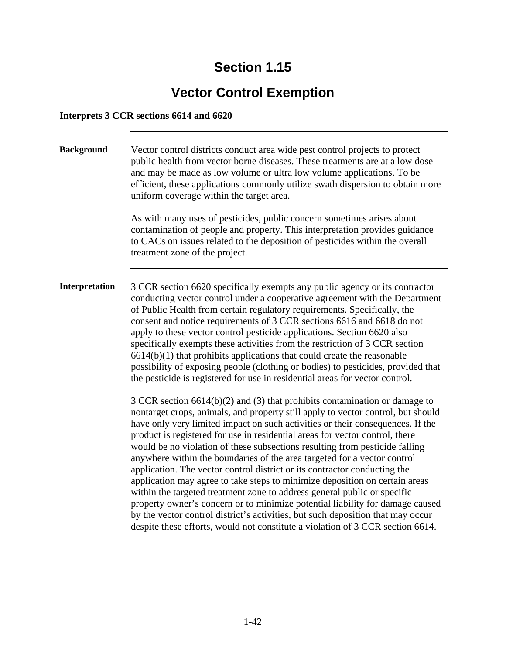# **Vector Control Exemption**

#### **Interprets 3 CCR sections 6614 and 6620**

| <b>Background</b> | Vector control districts conduct area wide pest control projects to protect<br>public health from vector borne diseases. These treatments are at a low dose<br>and may be made as low volume or ultra low volume applications. To be<br>efficient, these applications commonly utilize swath dispersion to obtain more<br>uniform coverage within the target area.<br>As with many uses of pesticides, public concern sometimes arises about<br>contamination of people and property. This interpretation provides guidance<br>to CACs on issues related to the deposition of pesticides within the overall<br>treatment zone of the project.                                                                                                                                                                                                                                                                                                                                               |
|-------------------|---------------------------------------------------------------------------------------------------------------------------------------------------------------------------------------------------------------------------------------------------------------------------------------------------------------------------------------------------------------------------------------------------------------------------------------------------------------------------------------------------------------------------------------------------------------------------------------------------------------------------------------------------------------------------------------------------------------------------------------------------------------------------------------------------------------------------------------------------------------------------------------------------------------------------------------------------------------------------------------------|
| Interpretation    | 3 CCR section 6620 specifically exempts any public agency or its contractor<br>conducting vector control under a cooperative agreement with the Department<br>of Public Health from certain regulatory requirements. Specifically, the<br>consent and notice requirements of 3 CCR sections 6616 and 6618 do not<br>apply to these vector control pesticide applications. Section 6620 also<br>specifically exempts these activities from the restriction of 3 CCR section<br>$6614(b)(1)$ that prohibits applications that could create the reasonable<br>possibility of exposing people (clothing or bodies) to pesticides, provided that<br>the pesticide is registered for use in residential areas for vector control.                                                                                                                                                                                                                                                                 |
|                   | $3$ CCR section 6614(b)(2) and (3) that prohibits contamination or damage to<br>nontarget crops, animals, and property still apply to vector control, but should<br>have only very limited impact on such activities or their consequences. If the<br>product is registered for use in residential areas for vector control, there<br>would be no violation of these subsections resulting from pesticide falling<br>anywhere within the boundaries of the area targeted for a vector control<br>application. The vector control district or its contractor conducting the<br>application may agree to take steps to minimize deposition on certain areas<br>within the targeted treatment zone to address general public or specific<br>property owner's concern or to minimize potential liability for damage caused<br>by the vector control district's activities, but such deposition that may occur<br>despite these efforts, would not constitute a violation of 3 CCR section 6614. |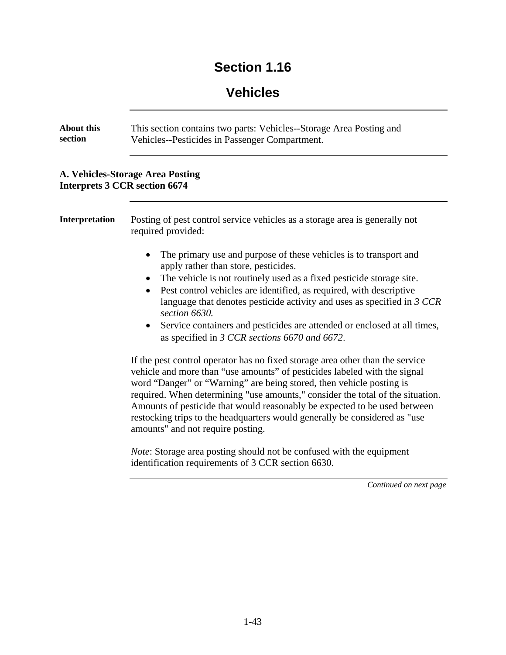### **Vehicles**

| <b>About this</b><br>section | This section contains two parts: Vehicles--Storage Area Posting and<br>Vehicles--Pesticides in Passenger Compartment.                                                                                                                                                                                                                                                                                                                                                                                                                                                                                                                                                                                                                                            |
|------------------------------|------------------------------------------------------------------------------------------------------------------------------------------------------------------------------------------------------------------------------------------------------------------------------------------------------------------------------------------------------------------------------------------------------------------------------------------------------------------------------------------------------------------------------------------------------------------------------------------------------------------------------------------------------------------------------------------------------------------------------------------------------------------|
|                              | <b>A. Vehicles-Storage Area Posting</b><br><b>Interprets 3 CCR section 6674</b>                                                                                                                                                                                                                                                                                                                                                                                                                                                                                                                                                                                                                                                                                  |
| <b>Interpretation</b>        | Posting of pest control service vehicles as a storage area is generally not<br>required provided:                                                                                                                                                                                                                                                                                                                                                                                                                                                                                                                                                                                                                                                                |
|                              | The primary use and purpose of these vehicles is to transport and<br>apply rather than store, pesticides.<br>The vehicle is not routinely used as a fixed pesticide storage site.<br>$\bullet$<br>Pest control vehicles are identified, as required, with descriptive<br>$\bullet$<br>language that denotes pesticide activity and uses as specified in $3$ CCR<br>section 6630.<br>Service containers and pesticides are attended or enclosed at all times,<br>$\bullet$<br>as specified in 3 CCR sections 6670 and 6672.<br>If the pest control operator has no fixed storage area other than the service<br>vehicle and more than "use amounts" of pesticides labeled with the signal<br>word "Danger" or "Warning" are being stored, then vehicle posting is |
|                              | required. When determining "use amounts," consider the total of the situation.<br>Amounts of pesticide that would reasonably be expected to be used between<br>restocking trips to the headquarters would generally be considered as "use<br>amounts" and not require posting.                                                                                                                                                                                                                                                                                                                                                                                                                                                                                   |

*Note*: Storage area posting should not be confused with the equipment identification requirements of 3 CCR section 6630.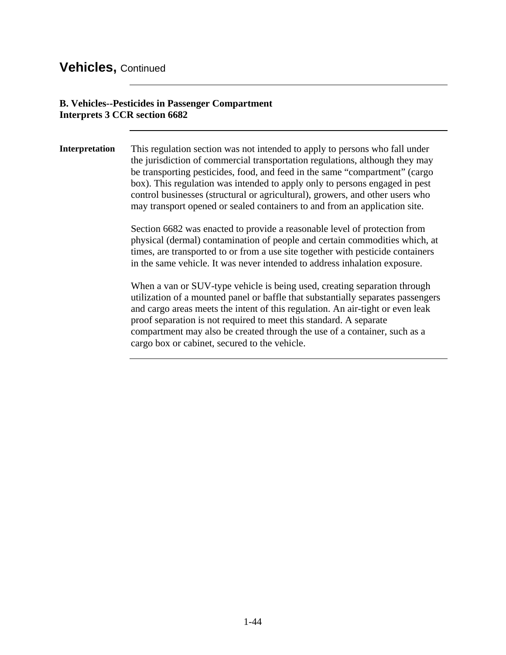#### **Vehicles,** Continued

#### **B. Vehicles--Pesticides in Passenger Compartment Interprets 3 CCR section 6682**

**Interpretation** This regulation section was not intended to apply to persons who fall under the jurisdiction of commercial transportation regulations, although they may be transporting pesticides, food, and feed in the same "compartment" (cargo box). This regulation was intended to apply only to persons engaged in pest control businesses (structural or agricultural), growers, and other users who may transport opened or sealed containers to and from an application site.

> Section 6682 was enacted to provide a reasonable level of protection from physical (dermal) contamination of people and certain commodities which, at times, are transported to or from a use site together with pesticide containers in the same vehicle. It was never intended to address inhalation exposure.

> When a van or SUV-type vehicle is being used, creating separation through utilization of a mounted panel or baffle that substantially separates passengers and cargo areas meets the intent of this regulation. An air-tight or even leak proof separation is not required to meet this standard. A separate compartment may also be created through the use of a container, such as a cargo box or cabinet, secured to the vehicle.